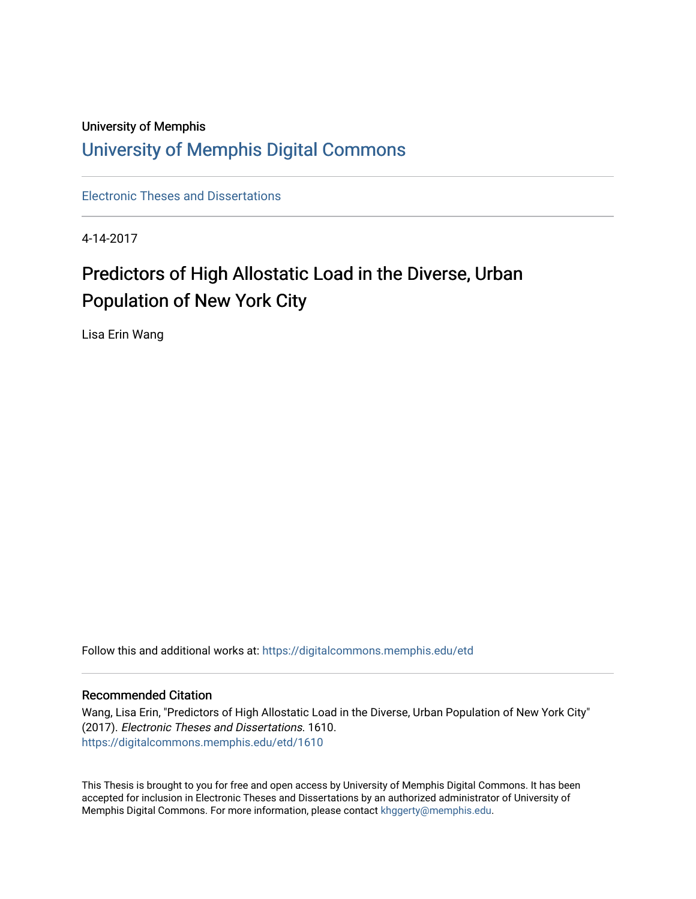# University of Memphis [University of Memphis Digital Commons](https://digitalcommons.memphis.edu/)

[Electronic Theses and Dissertations](https://digitalcommons.memphis.edu/etd)

4-14-2017

# Predictors of High Allostatic Load in the Diverse, Urban Population of New York City

Lisa Erin Wang

Follow this and additional works at: [https://digitalcommons.memphis.edu/etd](https://digitalcommons.memphis.edu/etd?utm_source=digitalcommons.memphis.edu%2Fetd%2F1610&utm_medium=PDF&utm_campaign=PDFCoverPages) 

#### Recommended Citation

Wang, Lisa Erin, "Predictors of High Allostatic Load in the Diverse, Urban Population of New York City" (2017). Electronic Theses and Dissertations. 1610. [https://digitalcommons.memphis.edu/etd/1610](https://digitalcommons.memphis.edu/etd/1610?utm_source=digitalcommons.memphis.edu%2Fetd%2F1610&utm_medium=PDF&utm_campaign=PDFCoverPages) 

This Thesis is brought to you for free and open access by University of Memphis Digital Commons. It has been accepted for inclusion in Electronic Theses and Dissertations by an authorized administrator of University of Memphis Digital Commons. For more information, please contact [khggerty@memphis.edu.](mailto:khggerty@memphis.edu)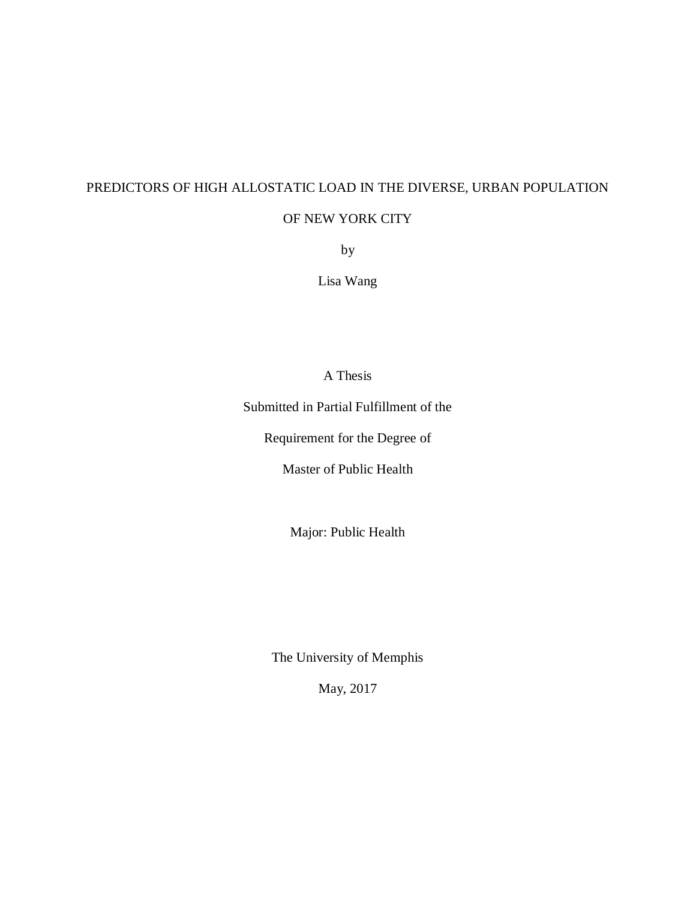# PREDICTORS OF HIGH ALLOSTATIC LOAD IN THE DIVERSE, URBAN POPULATION

### OF NEW YORK CITY

by

Lisa Wang

A Thesis

Submitted in Partial Fulfillment of the

Requirement for the Degree of

Master of Public Health

Major: Public Health

The University of Memphis

May, 2017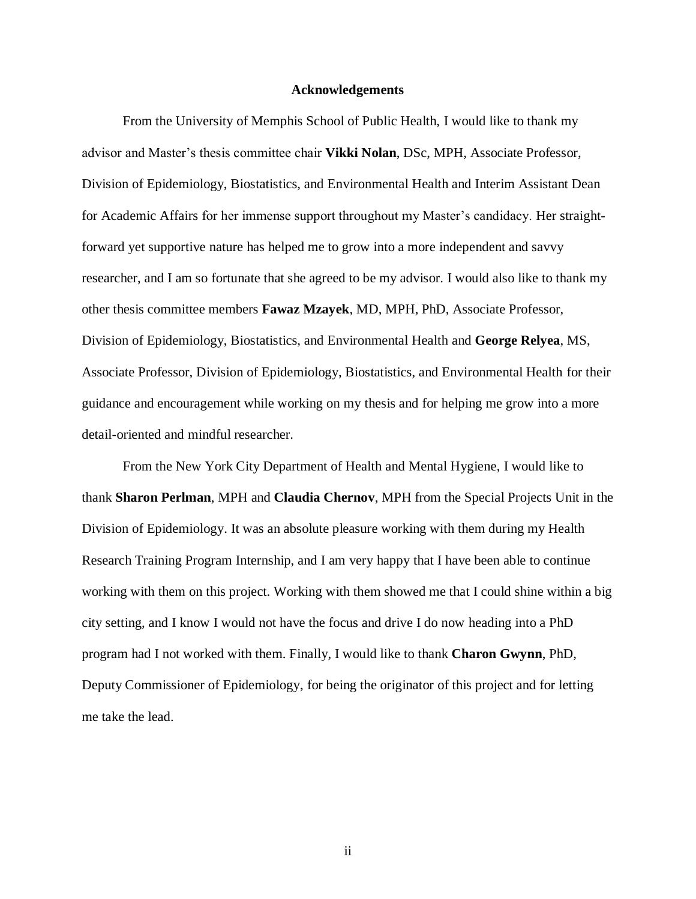#### **Acknowledgements**

From the University of Memphis School of Public Health, I would like to thank my advisor and Master's thesis committee chair **Vikki Nolan**, DSc, MPH, Associate Professor, Division of Epidemiology, Biostatistics, and Environmental Health and Interim Assistant Dean for Academic Affairs for her immense support throughout my Master's candidacy. Her straightforward yet supportive nature has helped me to grow into a more independent and savvy researcher, and I am so fortunate that she agreed to be my advisor. I would also like to thank my other thesis committee members **Fawaz Mzayek**, MD, MPH, PhD, Associate Professor, Division of Epidemiology, Biostatistics, and Environmental Health and **George Relyea**, MS, Associate Professor, Division of Epidemiology, Biostatistics, and Environmental Health for their guidance and encouragement while working on my thesis and for helping me grow into a more detail-oriented and mindful researcher.

From the New York City Department of Health and Mental Hygiene, I would like to thank **Sharon Perlman**, MPH and **Claudia Chernov**, MPH from the Special Projects Unit in the Division of Epidemiology. It was an absolute pleasure working with them during my Health Research Training Program Internship, and I am very happy that I have been able to continue working with them on this project. Working with them showed me that I could shine within a big city setting, and I know I would not have the focus and drive I do now heading into a PhD program had I not worked with them. Finally, I would like to thank **Charon Gwynn**, PhD, Deputy Commissioner of Epidemiology, for being the originator of this project and for letting me take the lead.

ii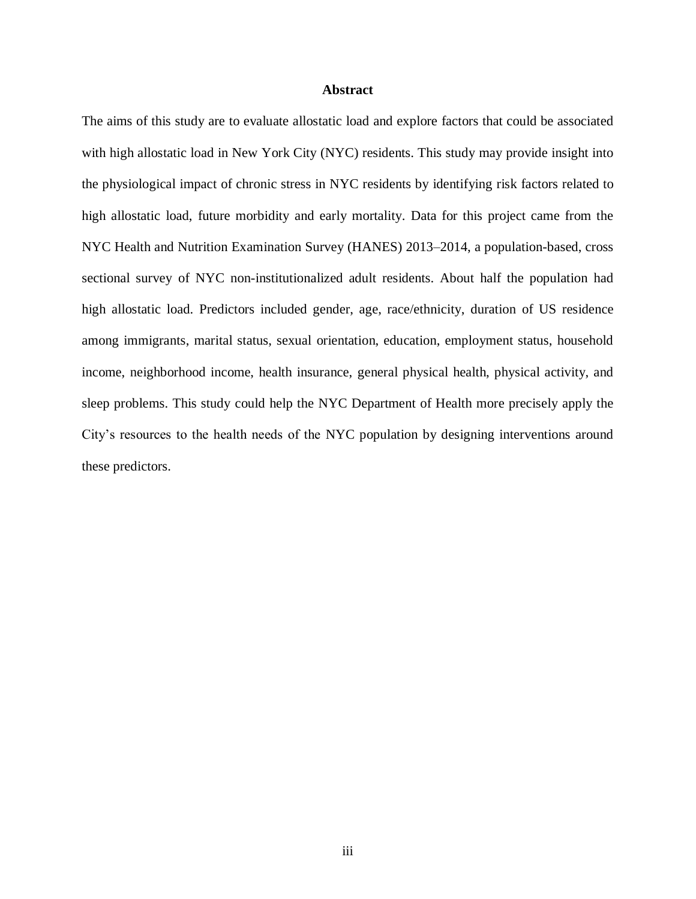#### **Abstract**

The aims of this study are to evaluate allostatic load and explore factors that could be associated with high allostatic load in New York City (NYC) residents. This study may provide insight into the physiological impact of chronic stress in NYC residents by identifying risk factors related to high allostatic load, future morbidity and early mortality. Data for this project came from the NYC Health and Nutrition Examination Survey (HANES) 2013–2014, a population-based, cross sectional survey of NYC non-institutionalized adult residents. About half the population had high allostatic load. Predictors included gender, age, race/ethnicity, duration of US residence among immigrants, marital status, sexual orientation, education, employment status, household income, neighborhood income, health insurance, general physical health, physical activity, and sleep problems. This study could help the NYC Department of Health more precisely apply the City's resources to the health needs of the NYC population by designing interventions around these predictors.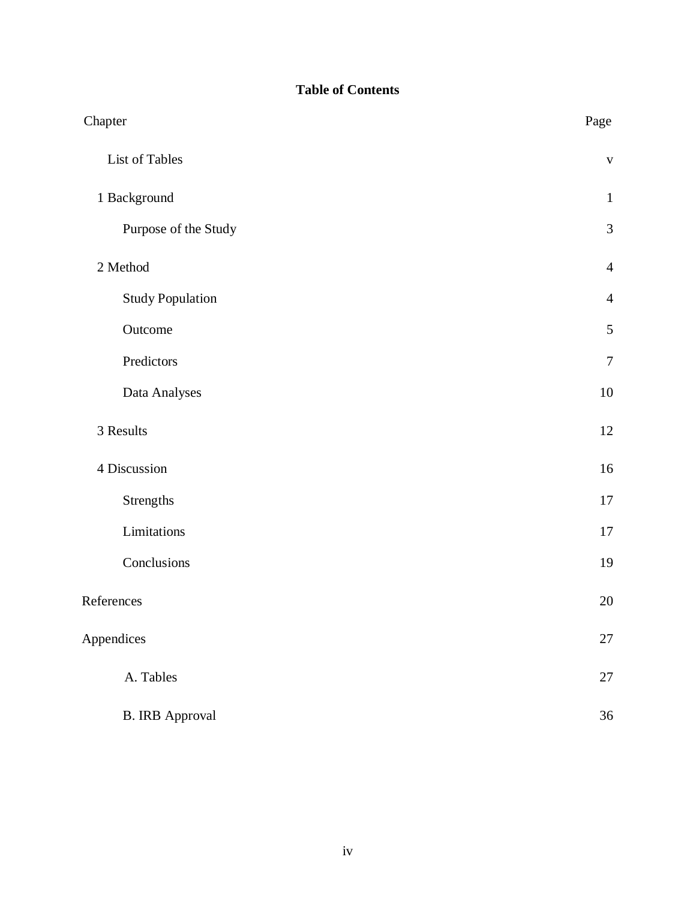# **Table of Contents**

| Chapter                 | Page           |
|-------------------------|----------------|
| List of Tables          | $\mathbf{V}$   |
| 1 Background            | $\mathbf{1}$   |
| Purpose of the Study    | $\mathfrak{Z}$ |
| 2 Method                | $\overline{4}$ |
| <b>Study Population</b> | $\overline{4}$ |
| Outcome                 | $\sqrt{5}$     |
| Predictors              | $\overline{7}$ |
| Data Analyses           | $10\,$         |
| 3 Results               | 12             |
| 4 Discussion            | 16             |
| Strengths               | 17             |
| Limitations             | $17\,$         |
| Conclusions             | 19             |
| References              | 20             |
| Appendices              | $27\,$         |
| A. Tables               | 27             |
| <b>B. IRB Approval</b>  | 36             |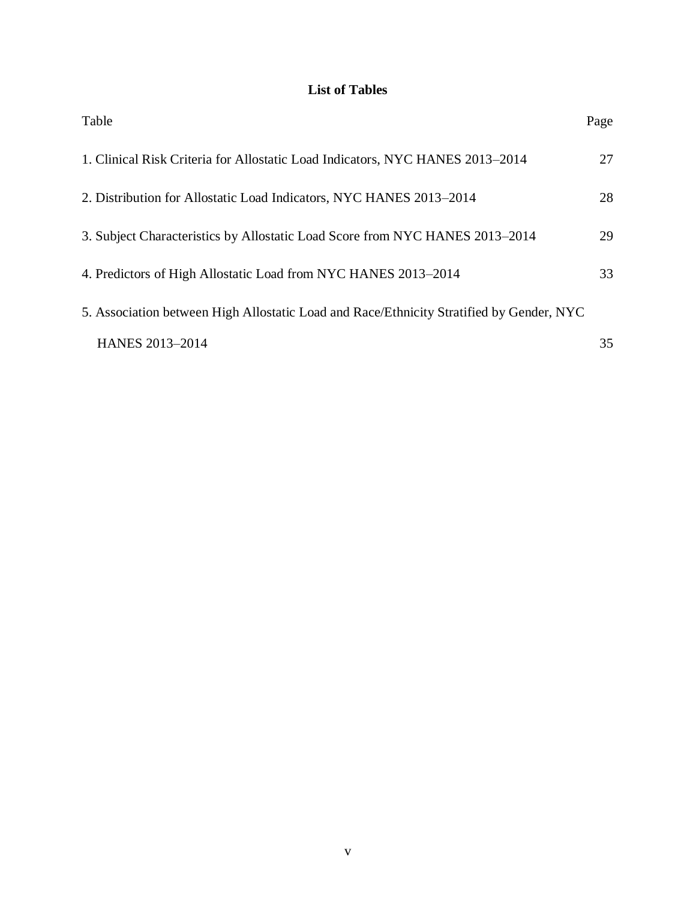# **List of Tables**

| Table                                                                                    | Page |
|------------------------------------------------------------------------------------------|------|
| 1. Clinical Risk Criteria for Allostatic Load Indicators, NYC HANES 2013–2014            | 27   |
| 2. Distribution for Allostatic Load Indicators, NYC HANES 2013–2014                      | 28   |
| 3. Subject Characteristics by Allostatic Load Score from NYC HANES 2013–2014             | 29   |
| 4. Predictors of High Allostatic Load from NYC HANES 2013–2014                           | 33   |
| 5. Association between High Allostatic Load and Race/Ethnicity Stratified by Gender, NYC |      |
| <b>HANES 2013-2014</b>                                                                   | 35   |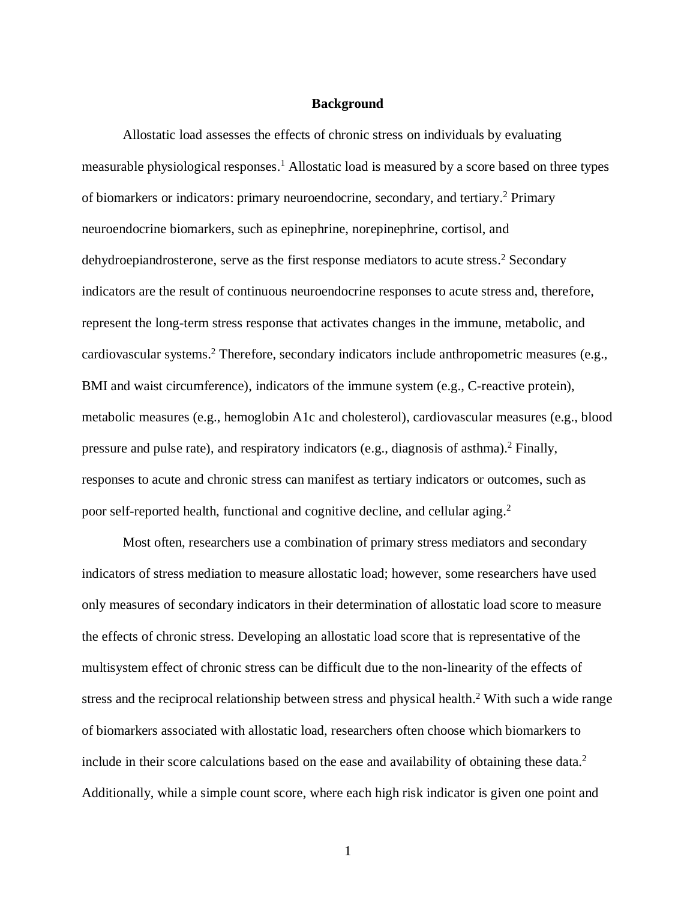#### **Background**

Allostatic load assesses the effects of chronic stress on individuals by evaluating measurable physiological responses. <sup>1</sup> Allostatic load is measured by a score based on three types of biomarkers or indicators: primary neuroendocrine, secondary, and tertiary. <sup>2</sup> Primary neuroendocrine biomarkers, such as epinephrine, norepinephrine, cortisol, and dehydroepiandrosterone, serve as the first response mediators to acute stress. <sup>2</sup> Secondary indicators are the result of continuous neuroendocrine responses to acute stress and, therefore, represent the long-term stress response that activates changes in the immune, metabolic, and cardiovascular systems. <sup>2</sup> Therefore, secondary indicators include anthropometric measures (e.g., BMI and waist circumference), indicators of the immune system (e.g., C-reactive protein), metabolic measures (e.g., hemoglobin A1c and cholesterol), cardiovascular measures (e.g., blood pressure and pulse rate), and respiratory indicators (e.g., diagnosis of asthma). <sup>2</sup> Finally, responses to acute and chronic stress can manifest as tertiary indicators or outcomes, such as poor self-reported health, functional and cognitive decline, and cellular aging.<sup>2</sup>

Most often, researchers use a combination of primary stress mediators and secondary indicators of stress mediation to measure allostatic load; however, some researchers have used only measures of secondary indicators in their determination of allostatic load score to measure the effects of chronic stress. Developing an allostatic load score that is representative of the multisystem effect of chronic stress can be difficult due to the non-linearity of the effects of stress and the reciprocal relationship between stress and physical health.<sup>2</sup> With such a wide range of biomarkers associated with allostatic load, researchers often choose which biomarkers to include in their score calculations based on the ease and availability of obtaining these data. 2 Additionally, while a simple count score, where each high risk indicator is given one point and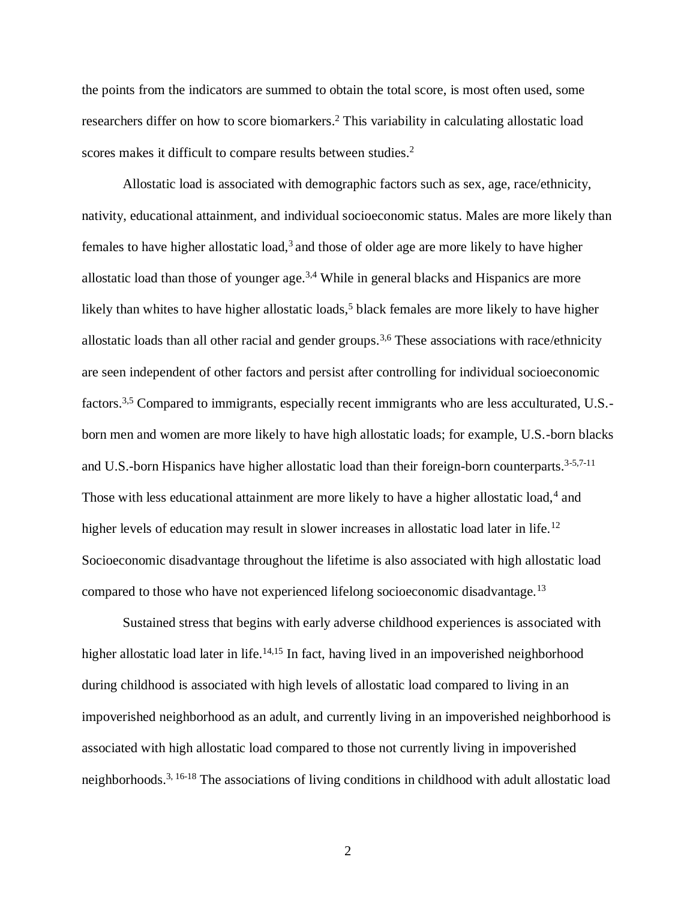the points from the indicators are summed to obtain the total score, is most often used, some researchers differ on how to score biomarkers. <sup>2</sup> This variability in calculating allostatic load scores makes it difficult to compare results between studies. 2

Allostatic load is associated with demographic factors such as sex, age, race/ethnicity, nativity, educational attainment, and individual socioeconomic status. Males are more likely than females to have higher allostatic load,<sup>3</sup> and those of older age are more likely to have higher allostatic load than those of younger age.<sup>3,4</sup> While in general blacks and Hispanics are more likely than whites to have higher allostatic loads,<sup>5</sup> black females are more likely to have higher allostatic loads than all other racial and gender groups.<sup>3,6</sup> These associations with race/ethnicity are seen independent of other factors and persist after controlling for individual socioeconomic factors.3,5 Compared to immigrants, especially recent immigrants who are less acculturated, U.S. born men and women are more likely to have high allostatic loads; for example, U.S.-born blacks and U.S.-born Hispanics have higher allostatic load than their foreign-born counterparts.<sup>3-5,7-11</sup> Those with less educational attainment are more likely to have a higher allostatic load,<sup>4</sup> and higher levels of education may result in slower increases in allostatic load later in life.<sup>12</sup> Socioeconomic disadvantage throughout the lifetime is also associated with high allostatic load compared to those who have not experienced lifelong socioeconomic disadvantage.<sup>13</sup>

Sustained stress that begins with early adverse childhood experiences is associated with higher allostatic load later in life.<sup>14,15</sup> In fact, having lived in an impoverished neighborhood during childhood is associated with high levels of allostatic load compared to living in an impoverished neighborhood as an adult, and currently living in an impoverished neighborhood is associated with high allostatic load compared to those not currently living in impoverished neighborhoods.<sup>3, 16-18</sup> The associations of living conditions in childhood with adult allostatic load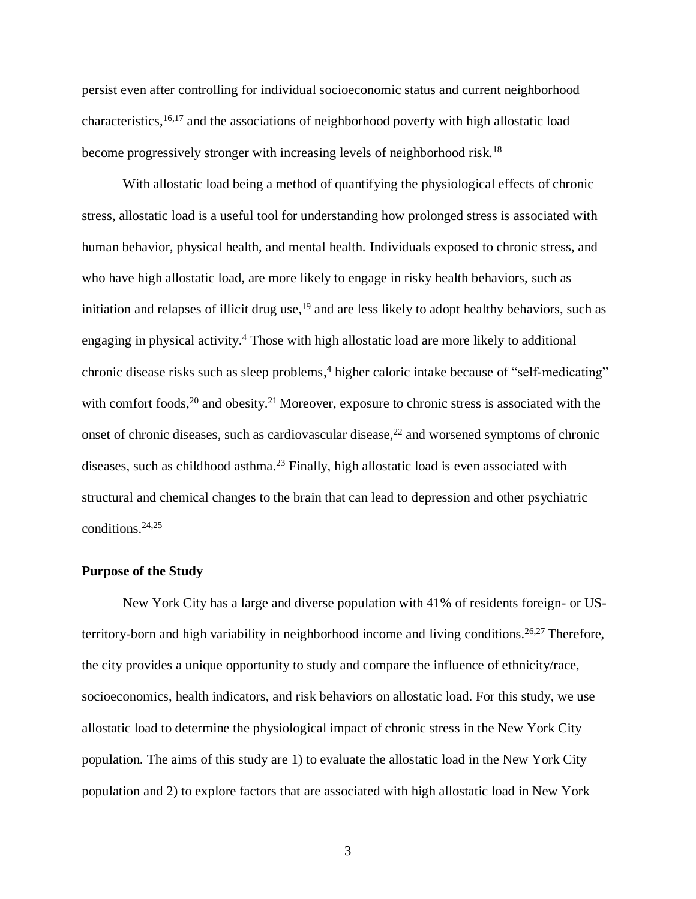persist even after controlling for individual socioeconomic status and current neighborhood characteristics, 16,17 and the associations of neighborhood poverty with high allostatic load become progressively stronger with increasing levels of neighborhood risk.<sup>18</sup>

With allostatic load being a method of quantifying the physiological effects of chronic stress, allostatic load is a useful tool for understanding how prolonged stress is associated with human behavior, physical health, and mental health. Individuals exposed to chronic stress, and who have high allostatic load, are more likely to engage in risky health behaviors, such as initiation and relapses of illicit drug use,<sup>19</sup> and are less likely to adopt healthy behaviors, such as engaging in physical activity. <sup>4</sup> Those with high allostatic load are more likely to additional chronic disease risks such as sleep problems, <sup>4</sup> higher caloric intake because of "self-medicating" with comfort foods,<sup>20</sup> and obesity.<sup>21</sup> Moreover, exposure to chronic stress is associated with the onset of chronic diseases, such as cardiovascular disease,<sup>22</sup> and worsened symptoms of chronic diseases, such as childhood asthma.<sup>23</sup> Finally, high allostatic load is even associated with structural and chemical changes to the brain that can lead to depression and other psychiatric conditions.24,25

#### **Purpose of the Study**

New York City has a large and diverse population with 41% of residents foreign- or USterritory-born and high variability in neighborhood income and living conditions.<sup>26,27</sup> Therefore, the city provides a unique opportunity to study and compare the influence of ethnicity/race, socioeconomics, health indicators, and risk behaviors on allostatic load. For this study, we use allostatic load to determine the physiological impact of chronic stress in the New York City population. The aims of this study are 1) to evaluate the allostatic load in the New York City population and 2) to explore factors that are associated with high allostatic load in New York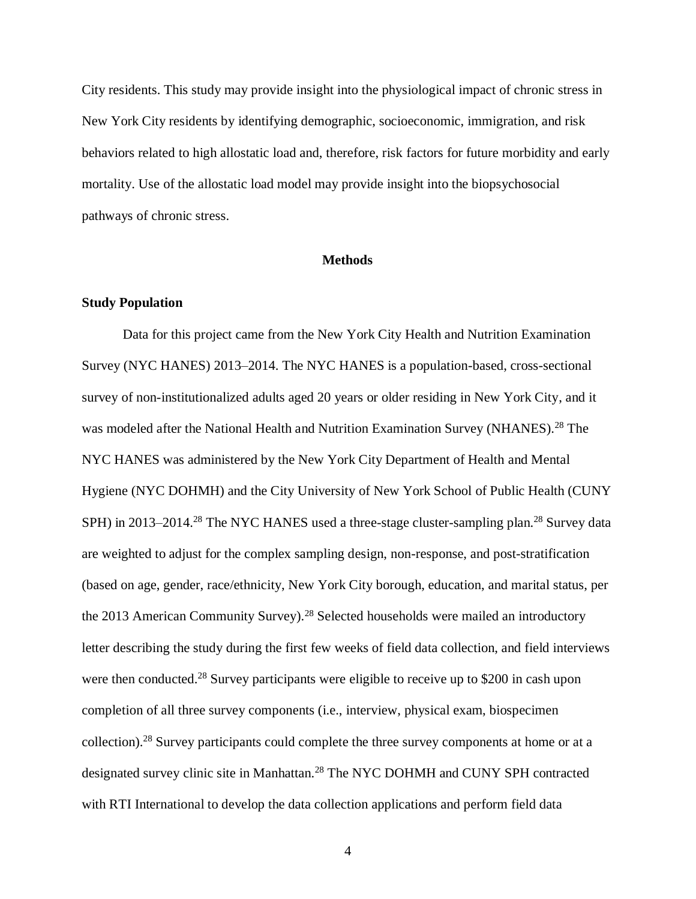City residents. This study may provide insight into the physiological impact of chronic stress in New York City residents by identifying demographic, socioeconomic, immigration, and risk behaviors related to high allostatic load and, therefore, risk factors for future morbidity and early mortality. Use of the allostatic load model may provide insight into the biopsychosocial pathways of chronic stress.

#### **Methods**

#### **Study Population**

Data for this project came from the New York City Health and Nutrition Examination Survey (NYC HANES) 2013–2014. The NYC HANES is a population-based, cross-sectional survey of non-institutionalized adults aged 20 years or older residing in New York City, and it was modeled after the National Health and Nutrition Examination Survey (NHANES).<sup>28</sup> The NYC HANES was administered by the New York City Department of Health and Mental Hygiene (NYC DOHMH) and the City University of New York School of Public Health (CUNY SPH) in 2013–2014.<sup>28</sup> The NYC HANES used a three-stage cluster-sampling plan.<sup>28</sup> Survey data are weighted to adjust for the complex sampling design, non-response, and post-stratification (based on age, gender, race/ethnicity, New York City borough, education, and marital status, per the 2013 American Community Survey).<sup>28</sup> Selected households were mailed an introductory letter describing the study during the first few weeks of field data collection, and field interviews were then conducted.<sup>28</sup> Survey participants were eligible to receive up to \$200 in cash upon completion of all three survey components (i.e., interview, physical exam, biospecimen collection).<sup>28</sup> Survey participants could complete the three survey components at home or at a designated survey clinic site in Manhattan.<sup>28</sup> The NYC DOHMH and CUNY SPH contracted with RTI International to develop the data collection applications and perform field data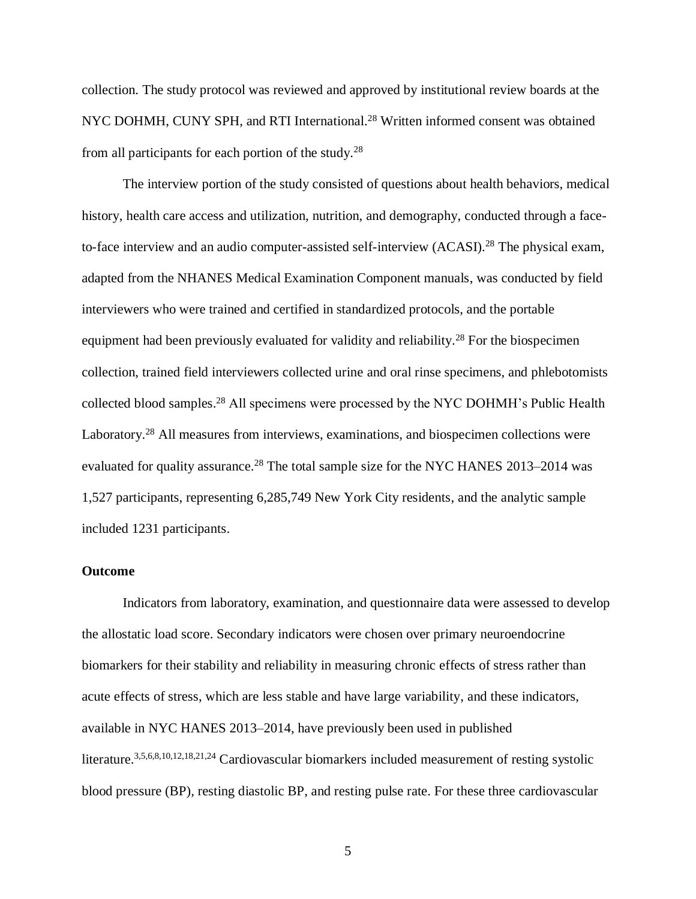collection. The study protocol was reviewed and approved by institutional review boards at the NYC DOHMH, CUNY SPH, and RTI International.<sup>28</sup> Written informed consent was obtained from all participants for each portion of the study.<sup>28</sup>

The interview portion of the study consisted of questions about health behaviors, medical history, health care access and utilization, nutrition, and demography, conducted through a faceto-face interview and an audio computer-assisted self-interview (ACASI).<sup>28</sup> The physical exam, adapted from the NHANES Medical Examination Component manuals, was conducted by field interviewers who were trained and certified in standardized protocols, and the portable equipment had been previously evaluated for validity and reliability.<sup>28</sup> For the biospecimen collection, trained field interviewers collected urine and oral rinse specimens, and phlebotomists collected blood samples. <sup>28</sup> All specimens were processed by the NYC DOHMH's Public Health Laboratory.<sup>28</sup> All measures from interviews, examinations, and biospecimen collections were evaluated for quality assurance.<sup>28</sup> The total sample size for the NYC HANES 2013–2014 was 1,527 participants, representing 6,285,749 New York City residents, and the analytic sample included 1231 participants.

#### **Outcome**

Indicators from laboratory, examination, and questionnaire data were assessed to develop the allostatic load score. Secondary indicators were chosen over primary neuroendocrine biomarkers for their stability and reliability in measuring chronic effects of stress rather than acute effects of stress, which are less stable and have large variability, and these indicators, available in NYC HANES 2013–2014, have previously been used in published literature.3,5,6,8,10,12,18,21,24 Cardiovascular biomarkers included measurement of resting systolic blood pressure (BP), resting diastolic BP, and resting pulse rate. For these three cardiovascular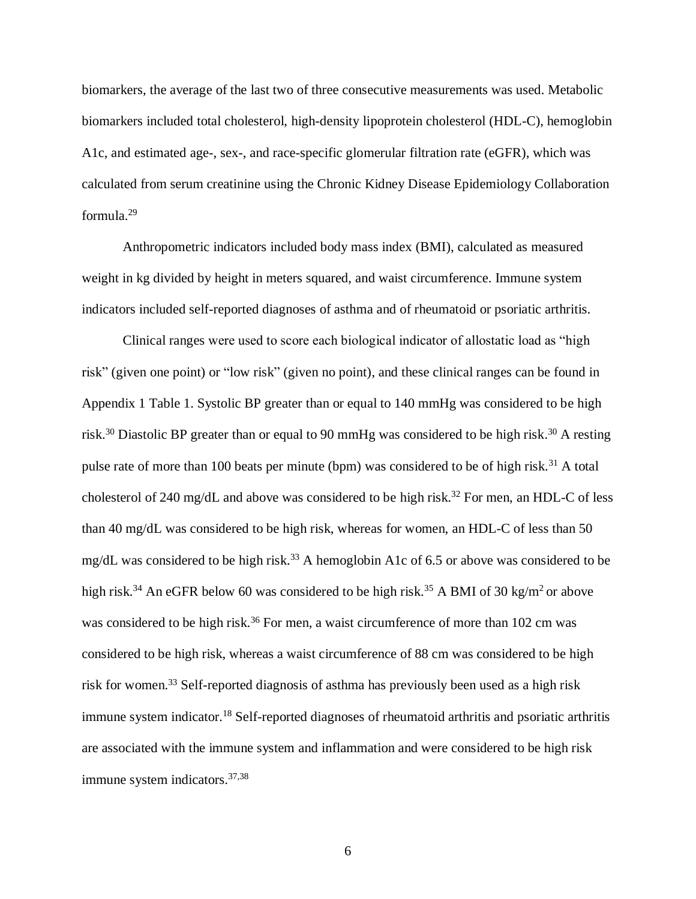biomarkers, the average of the last two of three consecutive measurements was used. Metabolic biomarkers included total cholesterol, high-density lipoprotein cholesterol (HDL-C), hemoglobin A1c, and estimated age-, sex-, and race-specific glomerular filtration rate (eGFR), which was calculated from serum creatinine using the Chronic Kidney Disease Epidemiology Collaboration formula.<sup>29</sup>

Anthropometric indicators included body mass index (BMI), calculated as measured weight in kg divided by height in meters squared, and waist circumference. Immune system indicators included self-reported diagnoses of asthma and of rheumatoid or psoriatic arthritis.

Clinical ranges were used to score each biological indicator of allostatic load as "high risk" (given one point) or "low risk" (given no point), and these clinical ranges can be found in Appendix 1 Table 1. Systolic BP greater than or equal to 140 mmHg was considered to be high risk.<sup>30</sup> Diastolic BP greater than or equal to 90 mmHg was considered to be high risk.<sup>30</sup> A resting pulse rate of more than 100 beats per minute (bpm) was considered to be of high risk.<sup>31</sup> A total cholesterol of 240 mg/dL and above was considered to be high risk.<sup>32</sup> For men, an HDL-C of less than 40 mg/dL was considered to be high risk, whereas for women, an HDL-C of less than 50 mg/dL was considered to be high risk.<sup>33</sup> A hemoglobin A1c of 6.5 or above was considered to be high risk.<sup>34</sup> An eGFR below 60 was considered to be high risk.<sup>35</sup> A BMI of 30 kg/m<sup>2</sup> or above was considered to be high risk.<sup>36</sup> For men, a waist circumference of more than 102 cm was considered to be high risk, whereas a waist circumference of 88 cm was considered to be high risk for women. <sup>33</sup> Self-reported diagnosis of asthma has previously been used as a high risk immune system indicator.<sup>18</sup> Self-reported diagnoses of rheumatoid arthritis and psoriatic arthritis are associated with the immune system and inflammation and were considered to be high risk immune system indicators.<sup>37,38</sup>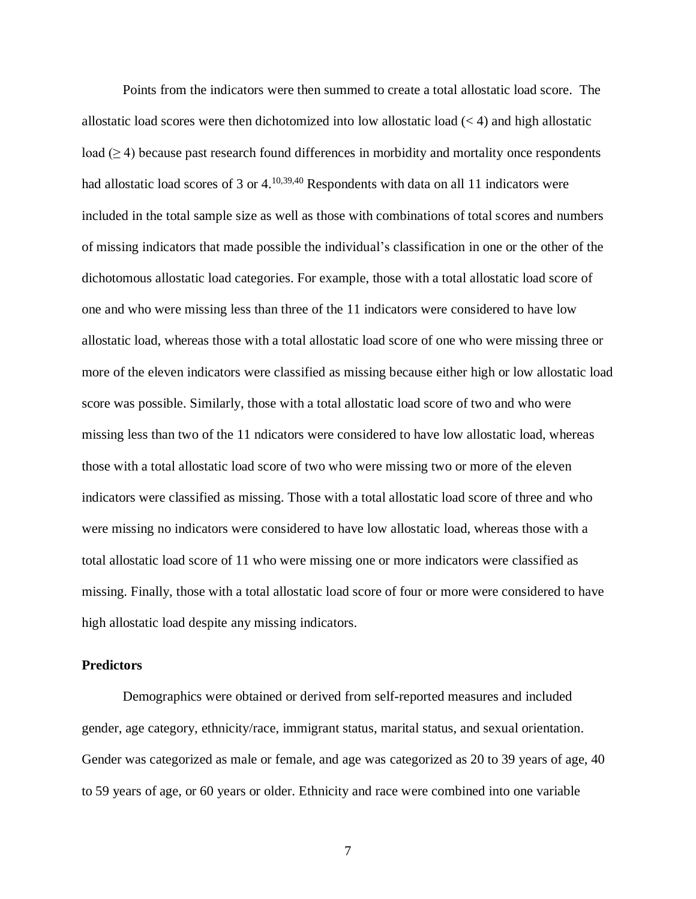Points from the indicators were then summed to create a total allostatic load score. The allostatic load scores were then dichotomized into low allostatic load  $(< 4)$  and high allostatic load  $(\geq 4)$  because past research found differences in morbidity and mortality once respondents had allostatic load scores of 3 or 4.<sup>10,39,40</sup> Respondents with data on all 11 indicators were included in the total sample size as well as those with combinations of total scores and numbers of missing indicators that made possible the individual's classification in one or the other of the dichotomous allostatic load categories. For example, those with a total allostatic load score of one and who were missing less than three of the 11 indicators were considered to have low allostatic load, whereas those with a total allostatic load score of one who were missing three or more of the eleven indicators were classified as missing because either high or low allostatic load score was possible. Similarly, those with a total allostatic load score of two and who were missing less than two of the 11 ndicators were considered to have low allostatic load, whereas those with a total allostatic load score of two who were missing two or more of the eleven indicators were classified as missing. Those with a total allostatic load score of three and who were missing no indicators were considered to have low allostatic load, whereas those with a total allostatic load score of 11 who were missing one or more indicators were classified as missing. Finally, those with a total allostatic load score of four or more were considered to have high allostatic load despite any missing indicators.

#### **Predictors**

Demographics were obtained or derived from self-reported measures and included gender, age category, ethnicity/race, immigrant status, marital status, and sexual orientation. Gender was categorized as male or female, and age was categorized as 20 to 39 years of age, 40 to 59 years of age, or 60 years or older. Ethnicity and race were combined into one variable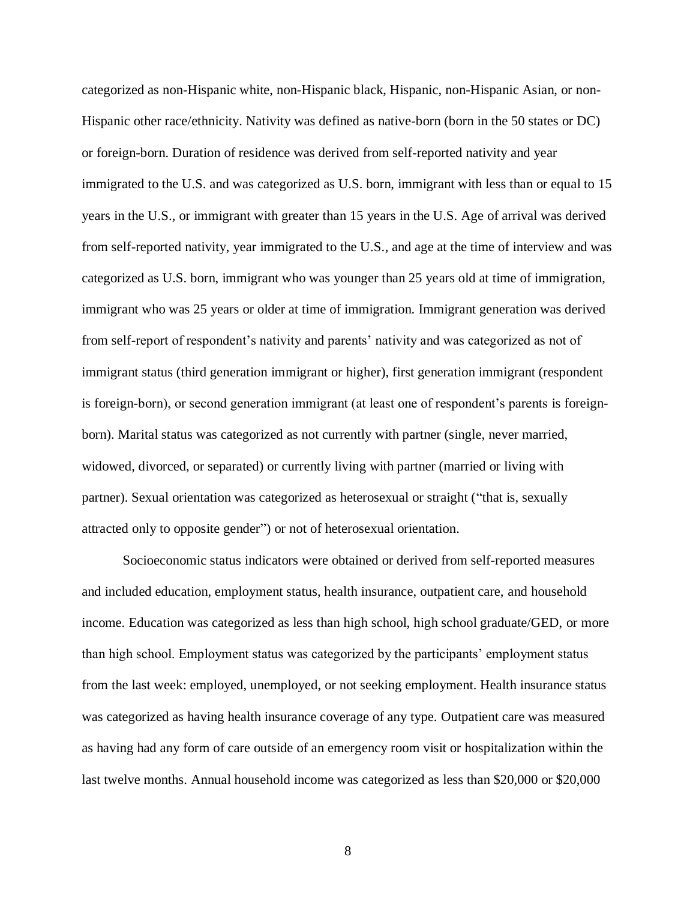categorized as non-Hispanic white, non-Hispanic black, Hispanic, non-Hispanic Asian, or non-Hispanic other race/ethnicity. Nativity was defined as native-born (born in the 50 states or DC) or foreign-born. Duration of residence was derived from self-reported nativity and year immigrated to the U.S. and was categorized as U.S. born, immigrant with less than or equal to 15 years in the U.S., or immigrant with greater than 15 years in the U.S. Age of arrival was derived from self-reported nativity, year immigrated to the U.S., and age at the time of interview and was categorized as U.S. born, immigrant who was younger than 25 years old at time of immigration, immigrant who was 25 years or older at time of immigration. Immigrant generation was derived from self-report of respondent's nativity and parents' nativity and was categorized as not of immigrant status (third generation immigrant or higher), first generation immigrant (respondent is foreign-born), or second generation immigrant (at least one of respondent's parents is foreignborn). Marital status was categorized as not currently with partner (single, never married, widowed, divorced, or separated) or currently living with partner (married or living with partner). Sexual orientation was categorized as heterosexual or straight ("that is, sexually attracted only to opposite gender") or not of heterosexual orientation.

Socioeconomic status indicators were obtained or derived from self-reported measures and included education, employment status, health insurance, outpatient care, and household income. Education was categorized as less than high school, high school graduate/GED, or more than high school. Employment status was categorized by the participants' employment status from the last week: employed, unemployed, or not seeking employment. Health insurance status was categorized as having health insurance coverage of any type. Outpatient care was measured as having had any form of care outside of an emergency room visit or hospitalization within the last twelve months. Annual household income was categorized as less than \$20,000 or \$20,000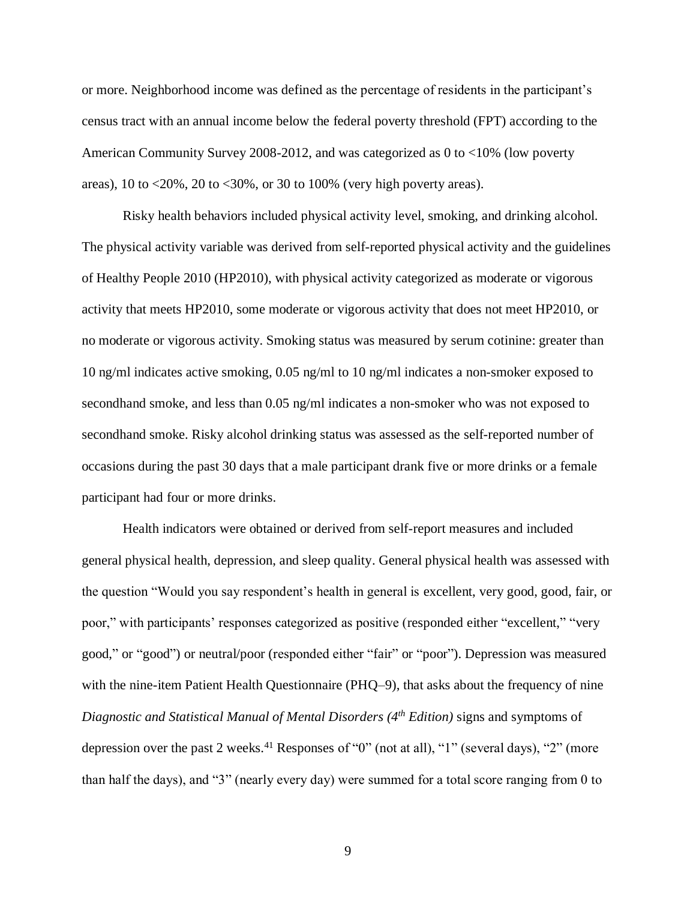or more. Neighborhood income was defined as the percentage of residents in the participant's census tract with an annual income below the federal poverty threshold (FPT) according to the American Community Survey 2008-2012, and was categorized as 0 to <10% (low poverty areas),  $10$  to  $\langle 20\%, 20$  to  $\langle 30\%, \text{ or } 30$  to  $100\%$  (very high poverty areas).

Risky health behaviors included physical activity level, smoking, and drinking alcohol. The physical activity variable was derived from self-reported physical activity and the guidelines of Healthy People 2010 (HP2010), with physical activity categorized as moderate or vigorous activity that meets HP2010, some moderate or vigorous activity that does not meet HP2010, or no moderate or vigorous activity. Smoking status was measured by serum cotinine: greater than 10 ng/ml indicates active smoking, 0.05 ng/ml to 10 ng/ml indicates a non-smoker exposed to secondhand smoke, and less than 0.05 ng/ml indicates a non-smoker who was not exposed to secondhand smoke. Risky alcohol drinking status was assessed as the self-reported number of occasions during the past 30 days that a male participant drank five or more drinks or a female participant had four or more drinks.

Health indicators were obtained or derived from self-report measures and included general physical health, depression, and sleep quality. General physical health was assessed with the question "Would you say respondent's health in general is excellent, very good, good, fair, or poor," with participants' responses categorized as positive (responded either "excellent," "very good," or "good") or neutral/poor (responded either "fair" or "poor"). Depression was measured with the nine-item Patient Health Questionnaire (PHQ–9), that asks about the frequency of nine *Diagnostic and Statistical Manual of Mental Disorders (4th Edition)* signs and symptoms of depression over the past 2 weeks.<sup>41</sup> Responses of "0" (not at all), "1" (several days), "2" (more than half the days), and "3" (nearly every day) were summed for a total score ranging from 0 to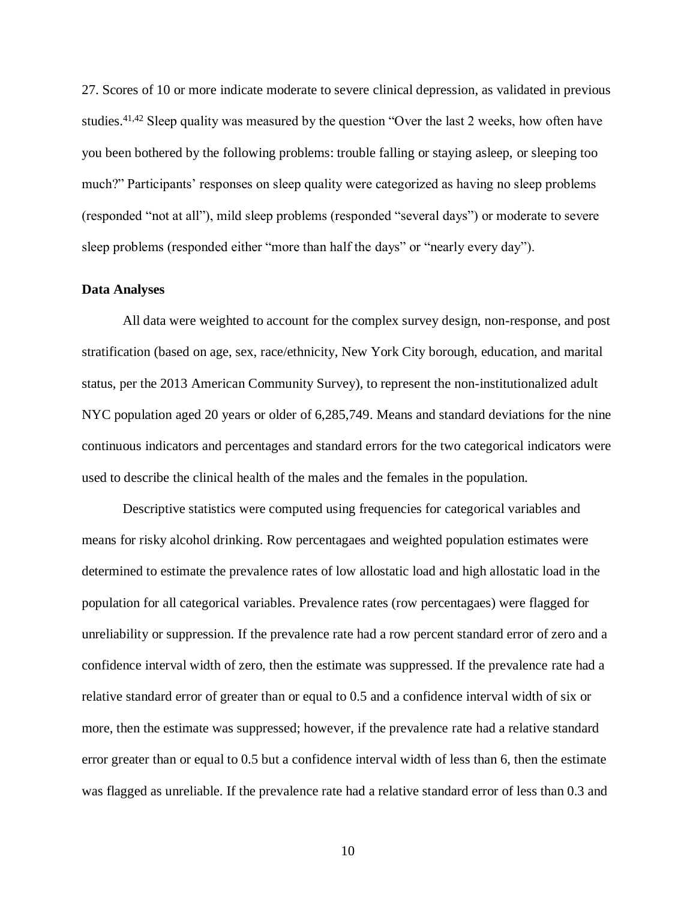27. Scores of 10 or more indicate moderate to severe clinical depression, as validated in previous studies.<sup>41,42</sup> Sleep quality was measured by the question "Over the last 2 weeks, how often have you been bothered by the following problems: trouble falling or staying asleep, or sleeping too much?" Participants' responses on sleep quality were categorized as having no sleep problems (responded "not at all"), mild sleep problems (responded "several days") or moderate to severe sleep problems (responded either "more than half the days" or "nearly every day").

#### **Data Analyses**

All data were weighted to account for the complex survey design, non-response, and post stratification (based on age, sex, race/ethnicity, New York City borough, education, and marital status, per the 2013 American Community Survey), to represent the non-institutionalized adult NYC population aged 20 years or older of 6,285,749. Means and standard deviations for the nine continuous indicators and percentages and standard errors for the two categorical indicators were used to describe the clinical health of the males and the females in the population.

Descriptive statistics were computed using frequencies for categorical variables and means for risky alcohol drinking. Row percentagaes and weighted population estimates were determined to estimate the prevalence rates of low allostatic load and high allostatic load in the population for all categorical variables. Prevalence rates (row percentagaes) were flagged for unreliability or suppression. If the prevalence rate had a row percent standard error of zero and a confidence interval width of zero, then the estimate was suppressed. If the prevalence rate had a relative standard error of greater than or equal to 0.5 and a confidence interval width of six or more, then the estimate was suppressed; however, if the prevalence rate had a relative standard error greater than or equal to 0.5 but a confidence interval width of less than 6, then the estimate was flagged as unreliable. If the prevalence rate had a relative standard error of less than 0.3 and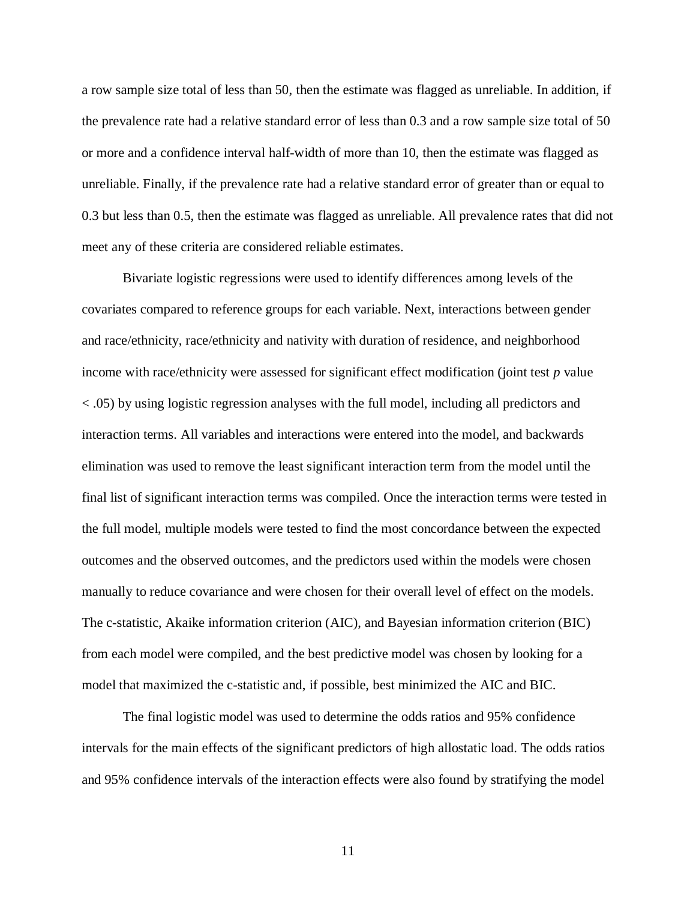a row sample size total of less than 50, then the estimate was flagged as unreliable. In addition, if the prevalence rate had a relative standard error of less than 0.3 and a row sample size total of 50 or more and a confidence interval half-width of more than 10, then the estimate was flagged as unreliable. Finally, if the prevalence rate had a relative standard error of greater than or equal to 0.3 but less than 0.5, then the estimate was flagged as unreliable. All prevalence rates that did not meet any of these criteria are considered reliable estimates.

Bivariate logistic regressions were used to identify differences among levels of the covariates compared to reference groups for each variable. Next, interactions between gender and race/ethnicity, race/ethnicity and nativity with duration of residence, and neighborhood income with race/ethnicity were assessed for significant effect modification (joint test *p* value < .05) by using logistic regression analyses with the full model, including all predictors and interaction terms. All variables and interactions were entered into the model, and backwards elimination was used to remove the least significant interaction term from the model until the final list of significant interaction terms was compiled. Once the interaction terms were tested in the full model, multiple models were tested to find the most concordance between the expected outcomes and the observed outcomes, and the predictors used within the models were chosen manually to reduce covariance and were chosen for their overall level of effect on the models. The c-statistic, Akaike information criterion (AIC), and Bayesian information criterion (BIC) from each model were compiled, and the best predictive model was chosen by looking for a model that maximized the c-statistic and, if possible, best minimized the AIC and BIC.

The final logistic model was used to determine the odds ratios and 95% confidence intervals for the main effects of the significant predictors of high allostatic load. The odds ratios and 95% confidence intervals of the interaction effects were also found by stratifying the model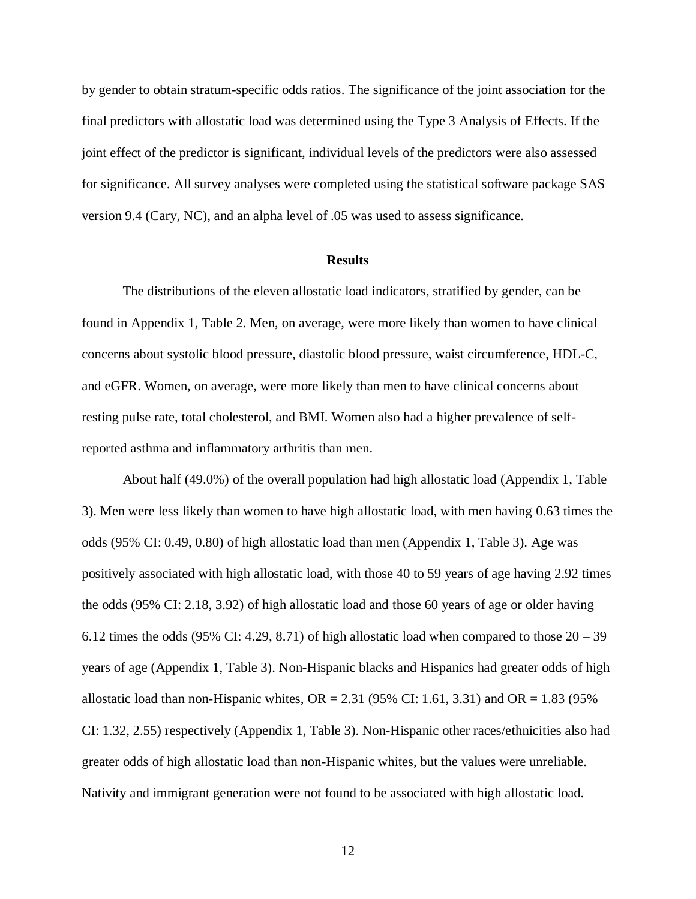by gender to obtain stratum-specific odds ratios. The significance of the joint association for the final predictors with allostatic load was determined using the Type 3 Analysis of Effects. If the joint effect of the predictor is significant, individual levels of the predictors were also assessed for significance. All survey analyses were completed using the statistical software package SAS version 9.4 (Cary, NC), and an alpha level of .05 was used to assess significance.

#### **Results**

The distributions of the eleven allostatic load indicators, stratified by gender, can be found in Appendix 1, Table 2. Men, on average, were more likely than women to have clinical concerns about systolic blood pressure, diastolic blood pressure, waist circumference, HDL-C, and eGFR. Women, on average, were more likely than men to have clinical concerns about resting pulse rate, total cholesterol, and BMI. Women also had a higher prevalence of selfreported asthma and inflammatory arthritis than men.

About half (49.0%) of the overall population had high allostatic load (Appendix 1, Table 3). Men were less likely than women to have high allostatic load, with men having 0.63 times the odds (95% CI: 0.49, 0.80) of high allostatic load than men (Appendix 1, Table 3). Age was positively associated with high allostatic load, with those 40 to 59 years of age having 2.92 times the odds (95% CI: 2.18, 3.92) of high allostatic load and those 60 years of age or older having 6.12 times the odds (95% CI: 4.29, 8.71) of high allostatic load when compared to those  $20 - 39$ years of age (Appendix 1, Table 3). Non-Hispanic blacks and Hispanics had greater odds of high allostatic load than non-Hispanic whites,  $OR = 2.31$  (95% CI: 1.61, 3.31) and  $OR = 1.83$  (95%) CI: 1.32, 2.55) respectively (Appendix 1, Table 3). Non-Hispanic other races/ethnicities also had greater odds of high allostatic load than non-Hispanic whites, but the values were unreliable. Nativity and immigrant generation were not found to be associated with high allostatic load.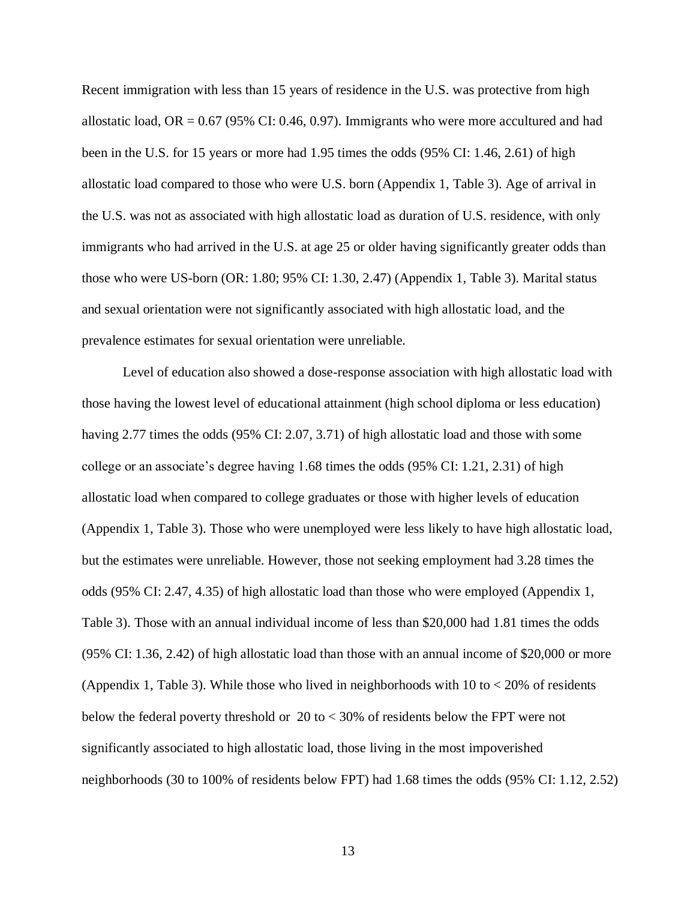Recent immigration with less than 15 years of residence in the U.S. was protective from high allostatic load,  $OR = 0.67$  (95% CI: 0.46, 0.97). Immigrants who were more accultured and had been in the U.S. for 15 years or more had 1.95 times the odds (95% CI: 1.46, 2.61) of high allostatic load compared to those who were U.S. born (Appendix 1, Table 3). Age of arrival in the U.S. was not as associated with high allostatic load as duration of U.S. residence, with only immigrants who had arrived in the U.S. at age 25 or older having significantly greater odds than those who were US-born (OR: 1.80; 95% CI: 1.30, 2.47) (Appendix 1, Table 3). Marital status and sexual orientation were not significantly associated with high allostatic load, and the prevalence estimates for sexual orientation were unreliable.

Level of education also showed a dose-response association with high allostatic load with those having the lowest level of educational attainment (high school diploma or less education) having 2.77 times the odds (95% CI: 2.07, 3.71) of high allostatic load and those with some college or an associate's degree having 1.68 times the odds (95% CI: 1.21, 2.31) of high allostatic load when compared to college graduates or those with higher levels of education (Appendix 1, Table 3). Those who were unemployed were less likely to have high allostatic load, but the estimates were unreliable. However, those not seeking employment had 3.28 times the odds (95% CI: 2.47, 4.35) of high allostatic load than those who were employed (Appendix 1, Table 3). Those with an annual individual income of less than \$20,000 had 1.81 times the odds (95% CI: 1.36, 2.42) of high allostatic load than those with an annual income of \$20,000 or more (Appendix 1, Table 3). While those who lived in neighborhoods with  $10$  to  $\lt 20\%$  of residents below the federal poverty threshold or 20 to < 30% of residents below the FPT were not significantly associated to high allostatic load, those living in the most impoverished neighborhoods (30 to 100% of residents below FPT) had 1.68 times the odds (95% CI: 1.12, 2.52)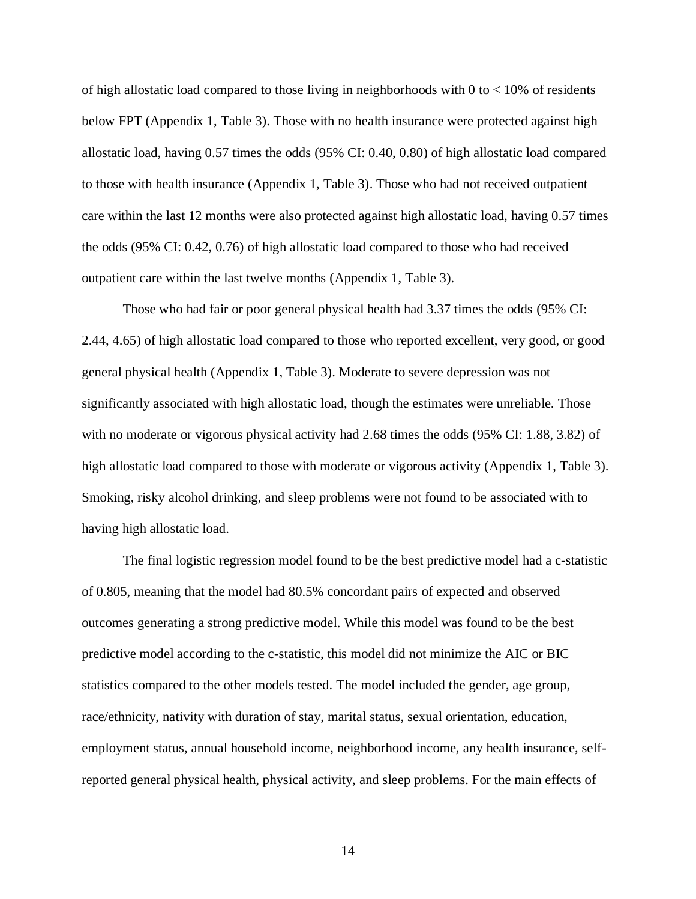of high allostatic load compared to those living in neighborhoods with  $0$  to  $< 10\%$  of residents below FPT (Appendix 1, Table 3). Those with no health insurance were protected against high allostatic load, having 0.57 times the odds (95% CI: 0.40, 0.80) of high allostatic load compared to those with health insurance (Appendix 1, Table 3). Those who had not received outpatient care within the last 12 months were also protected against high allostatic load, having 0.57 times the odds (95% CI: 0.42, 0.76) of high allostatic load compared to those who had received outpatient care within the last twelve months (Appendix 1, Table 3).

Those who had fair or poor general physical health had 3.37 times the odds (95% CI: 2.44, 4.65) of high allostatic load compared to those who reported excellent, very good, or good general physical health (Appendix 1, Table 3). Moderate to severe depression was not significantly associated with high allostatic load, though the estimates were unreliable. Those with no moderate or vigorous physical activity had 2.68 times the odds (95% CI: 1.88, 3.82) of high allostatic load compared to those with moderate or vigorous activity (Appendix 1, Table 3). Smoking, risky alcohol drinking, and sleep problems were not found to be associated with to having high allostatic load.

The final logistic regression model found to be the best predictive model had a c-statistic of 0.805, meaning that the model had 80.5% concordant pairs of expected and observed outcomes generating a strong predictive model. While this model was found to be the best predictive model according to the c-statistic, this model did not minimize the AIC or BIC statistics compared to the other models tested. The model included the gender, age group, race/ethnicity, nativity with duration of stay, marital status, sexual orientation, education, employment status, annual household income, neighborhood income, any health insurance, selfreported general physical health, physical activity, and sleep problems. For the main effects of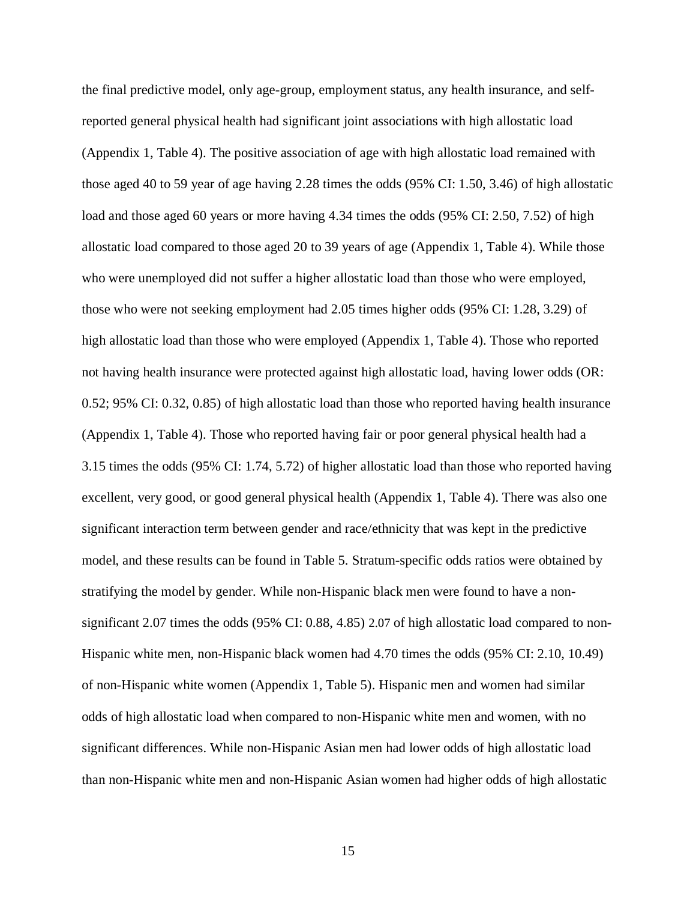the final predictive model, only age-group, employment status, any health insurance, and selfreported general physical health had significant joint associations with high allostatic load (Appendix 1, Table 4). The positive association of age with high allostatic load remained with those aged 40 to 59 year of age having 2.28 times the odds (95% CI: 1.50, 3.46) of high allostatic load and those aged 60 years or more having 4.34 times the odds (95% CI: 2.50, 7.52) of high allostatic load compared to those aged 20 to 39 years of age (Appendix 1, Table 4). While those who were unemployed did not suffer a higher allostatic load than those who were employed, those who were not seeking employment had 2.05 times higher odds (95% CI: 1.28, 3.29) of high allostatic load than those who were employed (Appendix 1, Table 4). Those who reported not having health insurance were protected against high allostatic load, having lower odds (OR: 0.52; 95% CI: 0.32, 0.85) of high allostatic load than those who reported having health insurance (Appendix 1, Table 4). Those who reported having fair or poor general physical health had a 3.15 times the odds (95% CI: 1.74, 5.72) of higher allostatic load than those who reported having excellent, very good, or good general physical health (Appendix 1, Table 4). There was also one significant interaction term between gender and race/ethnicity that was kept in the predictive model, and these results can be found in Table 5. Stratum-specific odds ratios were obtained by stratifying the model by gender. While non-Hispanic black men were found to have a nonsignificant 2.07 times the odds (95% CI: 0.88, 4.85) 2.07 of high allostatic load compared to non-Hispanic white men, non-Hispanic black women had 4.70 times the odds (95% CI: 2.10, 10.49) of non-Hispanic white women (Appendix 1, Table 5). Hispanic men and women had similar odds of high allostatic load when compared to non-Hispanic white men and women, with no significant differences. While non-Hispanic Asian men had lower odds of high allostatic load than non-Hispanic white men and non-Hispanic Asian women had higher odds of high allostatic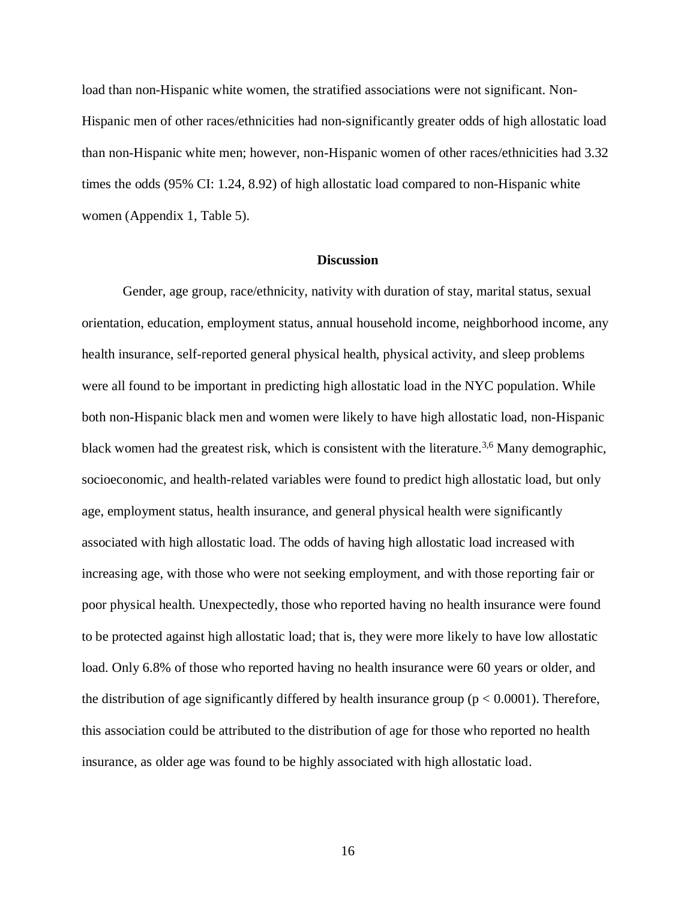load than non-Hispanic white women, the stratified associations were not significant. Non-Hispanic men of other races/ethnicities had non-significantly greater odds of high allostatic load than non-Hispanic white men; however, non-Hispanic women of other races/ethnicities had 3.32 times the odds (95% CI: 1.24, 8.92) of high allostatic load compared to non-Hispanic white women (Appendix 1, Table 5).

#### **Discussion**

Gender, age group, race/ethnicity, nativity with duration of stay, marital status, sexual orientation, education, employment status, annual household income, neighborhood income, any health insurance, self-reported general physical health, physical activity, and sleep problems were all found to be important in predicting high allostatic load in the NYC population. While both non-Hispanic black men and women were likely to have high allostatic load, non-Hispanic black women had the greatest risk, which is consistent with the literature.<sup>3,6</sup> Many demographic, socioeconomic, and health-related variables were found to predict high allostatic load, but only age, employment status, health insurance, and general physical health were significantly associated with high allostatic load. The odds of having high allostatic load increased with increasing age, with those who were not seeking employment, and with those reporting fair or poor physical health. Unexpectedly, those who reported having no health insurance were found to be protected against high allostatic load; that is, they were more likely to have low allostatic load. Only 6.8% of those who reported having no health insurance were 60 years or older, and the distribution of age significantly differed by health insurance group ( $p < 0.0001$ ). Therefore, this association could be attributed to the distribution of age for those who reported no health insurance, as older age was found to be highly associated with high allostatic load.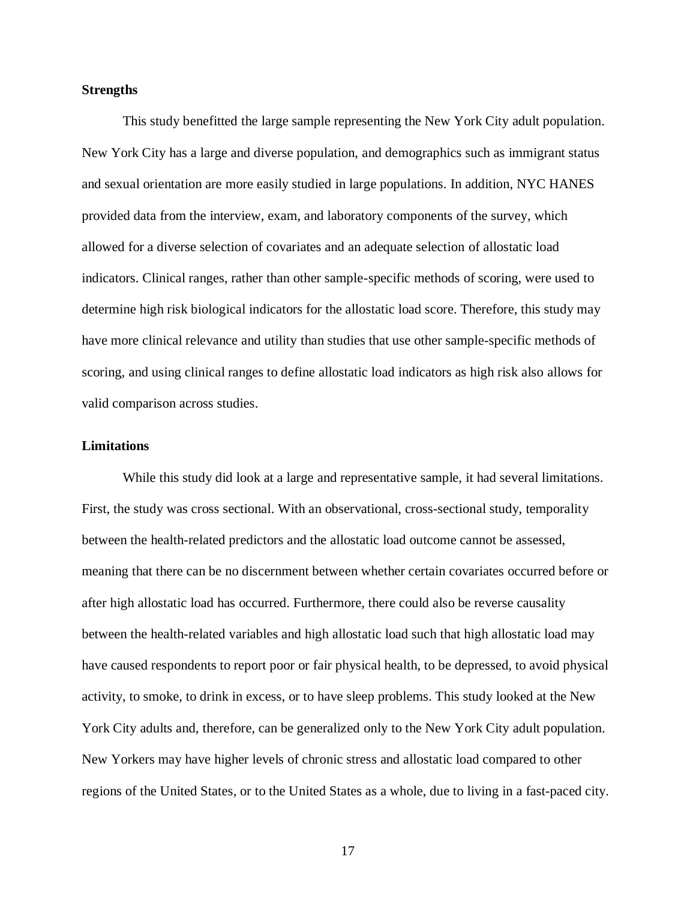#### **Strengths**

This study benefitted the large sample representing the New York City adult population. New York City has a large and diverse population, and demographics such as immigrant status and sexual orientation are more easily studied in large populations. In addition, NYC HANES provided data from the interview, exam, and laboratory components of the survey, which allowed for a diverse selection of covariates and an adequate selection of allostatic load indicators. Clinical ranges, rather than other sample-specific methods of scoring, were used to determine high risk biological indicators for the allostatic load score. Therefore, this study may have more clinical relevance and utility than studies that use other sample-specific methods of scoring, and using clinical ranges to define allostatic load indicators as high risk also allows for valid comparison across studies.

### **Limitations**

While this study did look at a large and representative sample, it had several limitations. First, the study was cross sectional. With an observational, cross-sectional study, temporality between the health-related predictors and the allostatic load outcome cannot be assessed, meaning that there can be no discernment between whether certain covariates occurred before or after high allostatic load has occurred. Furthermore, there could also be reverse causality between the health-related variables and high allostatic load such that high allostatic load may have caused respondents to report poor or fair physical health, to be depressed, to avoid physical activity, to smoke, to drink in excess, or to have sleep problems. This study looked at the New York City adults and, therefore, can be generalized only to the New York City adult population. New Yorkers may have higher levels of chronic stress and allostatic load compared to other regions of the United States, or to the United States as a whole, due to living in a fast-paced city.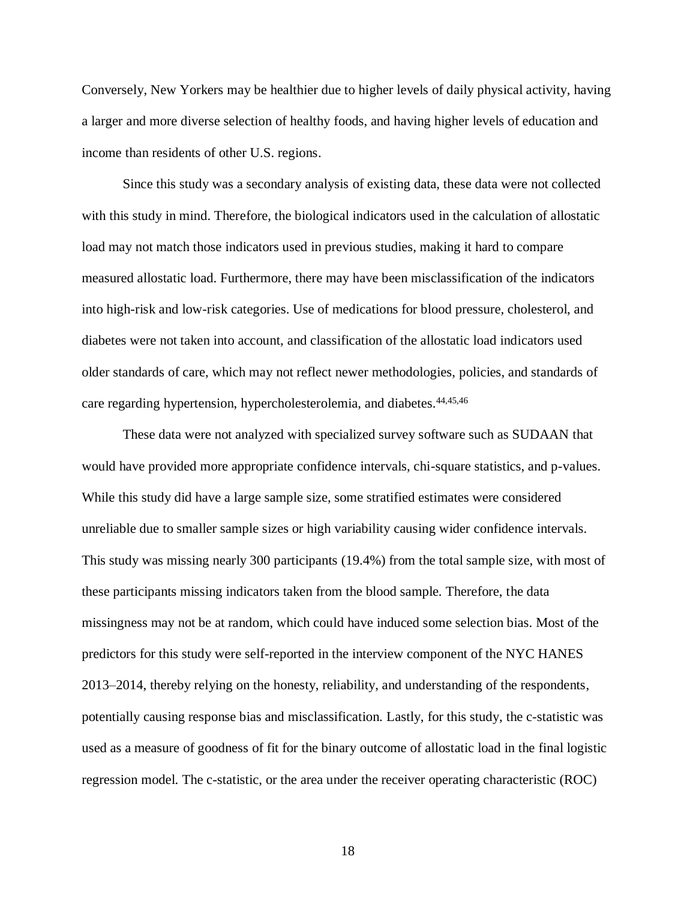Conversely, New Yorkers may be healthier due to higher levels of daily physical activity, having a larger and more diverse selection of healthy foods, and having higher levels of education and income than residents of other U.S. regions.

Since this study was a secondary analysis of existing data, these data were not collected with this study in mind. Therefore, the biological indicators used in the calculation of allostatic load may not match those indicators used in previous studies, making it hard to compare measured allostatic load. Furthermore, there may have been misclassification of the indicators into high-risk and low-risk categories. Use of medications for blood pressure, cholesterol, and diabetes were not taken into account, and classification of the allostatic load indicators used older standards of care, which may not reflect newer methodologies, policies, and standards of care regarding hypertension, hypercholesterolemia, and diabetes.<sup>44,45,46</sup>

These data were not analyzed with specialized survey software such as SUDAAN that would have provided more appropriate confidence intervals, chi-square statistics, and p-values. While this study did have a large sample size, some stratified estimates were considered unreliable due to smaller sample sizes or high variability causing wider confidence intervals. This study was missing nearly 300 participants (19.4%) from the total sample size, with most of these participants missing indicators taken from the blood sample. Therefore, the data missingness may not be at random, which could have induced some selection bias. Most of the predictors for this study were self-reported in the interview component of the NYC HANES 2013–2014, thereby relying on the honesty, reliability, and understanding of the respondents, potentially causing response bias and misclassification. Lastly, for this study, the c-statistic was used as a measure of goodness of fit for the binary outcome of allostatic load in the final logistic regression model. The c-statistic, or the area under the receiver operating characteristic (ROC)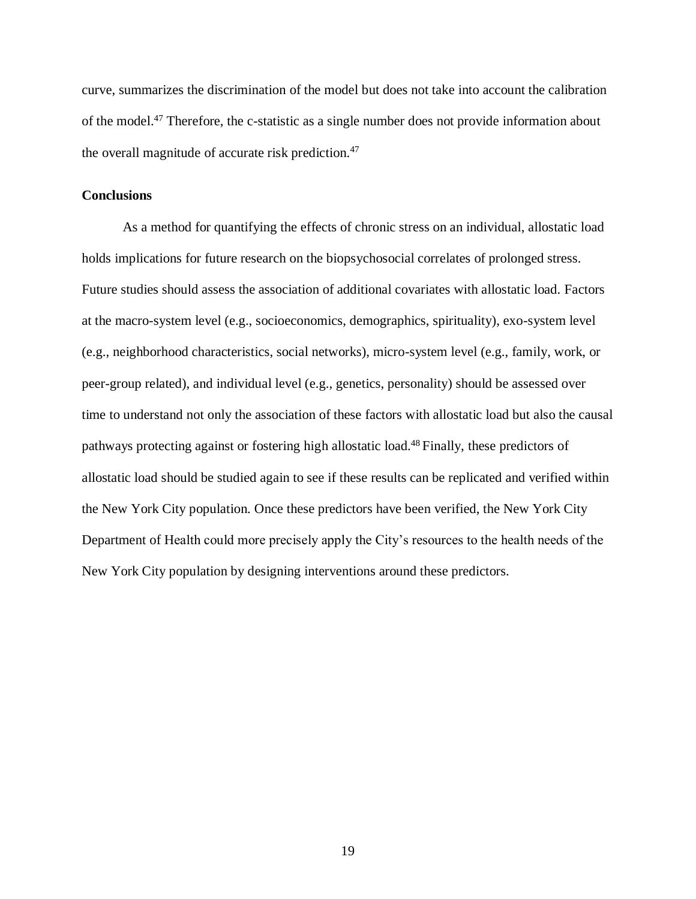curve, summarizes the discrimination of the model but does not take into account the calibration of the model. <sup>47</sup> Therefore, the c-statistic as a single number does not provide information about the overall magnitude of accurate risk prediction.<sup>47</sup>

### **Conclusions**

As a method for quantifying the effects of chronic stress on an individual, allostatic load holds implications for future research on the biopsychosocial correlates of prolonged stress. Future studies should assess the association of additional covariates with allostatic load. Factors at the macro-system level (e.g., socioeconomics, demographics, spirituality), exo-system level (e.g., neighborhood characteristics, social networks), micro-system level (e.g., family, work, or peer-group related), and individual level (e.g., genetics, personality) should be assessed over time to understand not only the association of these factors with allostatic load but also the causal pathways protecting against or fostering high allostatic load.<sup>48</sup> Finally, these predictors of allostatic load should be studied again to see if these results can be replicated and verified within the New York City population. Once these predictors have been verified, the New York City Department of Health could more precisely apply the City's resources to the health needs of the New York City population by designing interventions around these predictors.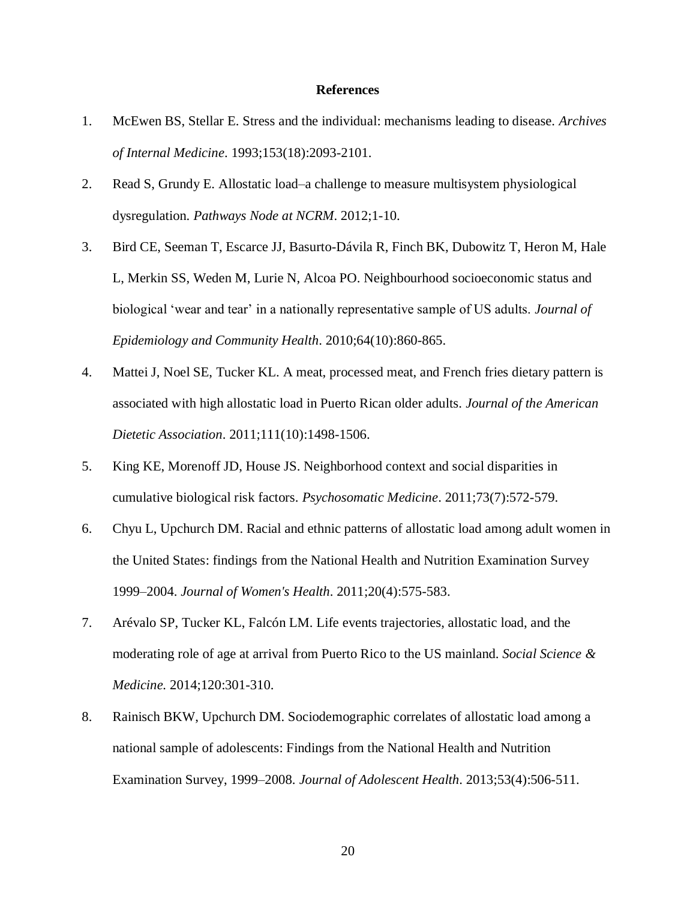#### **References**

- 1. McEwen BS, Stellar E. Stress and the individual: mechanisms leading to disease. *Archives of Internal Medicine*. 1993;153(18):2093-2101.
- 2. Read S, Grundy E. Allostatic load–a challenge to measure multisystem physiological dysregulation. *Pathways Node at NCRM*. 2012;1-10.
- 3. Bird CE, Seeman T, Escarce JJ, Basurto-Dávila R, Finch BK, Dubowitz T, Heron M, Hale L, Merkin SS, Weden M, Lurie N, Alcoa PO. Neighbourhood socioeconomic status and biological 'wear and tear' in a nationally representative sample of US adults. *Journal of Epidemiology and Community Health*. 2010;64(10):860-865.
- 4. Mattei J, Noel SE, Tucker KL. A meat, processed meat, and French fries dietary pattern is associated with high allostatic load in Puerto Rican older adults. *Journal of the American Dietetic Association*. 2011;111(10):1498-1506.
- 5. King KE, Morenoff JD, House JS. Neighborhood context and social disparities in cumulative biological risk factors. *Psychosomatic Medicine*. 2011;73(7):572-579.
- 6. Chyu L, Upchurch DM. Racial and ethnic patterns of allostatic load among adult women in the United States: findings from the National Health and Nutrition Examination Survey 1999–2004. *Journal of Women's Health*. 2011;20(4):575-583.
- 7. Arévalo SP, Tucker KL, Falcón LM. Life events trajectories, allostatic load, and the moderating role of age at arrival from Puerto Rico to the US mainland. *Social Science & Medicine.* 2014;120:301-310.
- 8. Rainisch BKW, Upchurch DM. Sociodemographic correlates of allostatic load among a national sample of adolescents: Findings from the National Health and Nutrition Examination Survey, 1999–2008. *Journal of Adolescent Health*. 2013;53(4):506-511.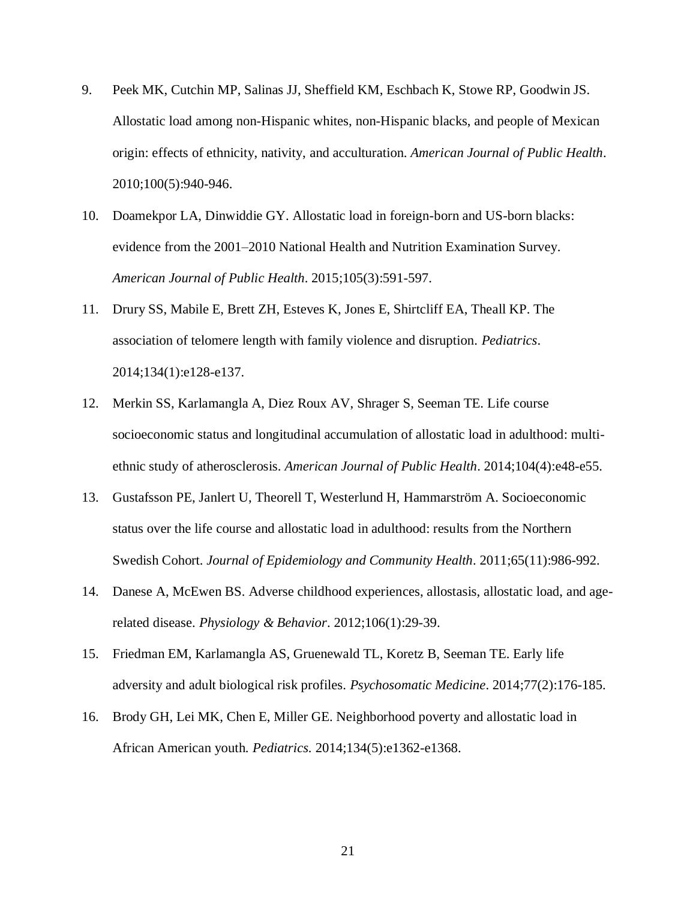- 9. Peek MK, Cutchin MP, Salinas JJ, Sheffield KM, Eschbach K, Stowe RP, Goodwin JS. Allostatic load among non-Hispanic whites, non-Hispanic blacks, and people of Mexican origin: effects of ethnicity, nativity, and acculturation. *American Journal of Public Health*. 2010;100(5):940-946.
- 10. Doamekpor LA, Dinwiddie GY. Allostatic load in foreign-born and US-born blacks: evidence from the 2001–2010 National Health and Nutrition Examination Survey. *American Journal of Public Health*. 2015;105(3):591-597.
- 11. Drury SS, Mabile E, Brett ZH, Esteves K, Jones E, Shirtcliff EA, Theall KP. The association of telomere length with family violence and disruption. *Pediatrics*. 2014;134(1):e128-e137.
- 12. Merkin SS, Karlamangla A, Diez Roux AV, Shrager S, Seeman TE. Life course socioeconomic status and longitudinal accumulation of allostatic load in adulthood: multiethnic study of atherosclerosis. *American Journal of Public Health*. 2014;104(4):e48-e55.
- 13. Gustafsson PE, Janlert U, Theorell T, Westerlund H, Hammarström A. Socioeconomic status over the life course and allostatic load in adulthood: results from the Northern Swedish Cohort. *Journal of Epidemiology and Community Health*. 2011;65(11):986-992.
- 14. Danese A, McEwen BS. Adverse childhood experiences, allostasis, allostatic load, and agerelated disease. *Physiology & Behavior*. 2012;106(1):29-39.
- 15. Friedman EM, Karlamangla AS, Gruenewald TL, Koretz B, Seeman TE. Early life adversity and adult biological risk profiles. *Psychosomatic Medicine*. 2014;77(2):176-185.
- 16. Brody GH, Lei MK, Chen E, Miller GE. Neighborhood poverty and allostatic load in African American youth. *Pediatrics.* 2014;134(5):e1362-e1368.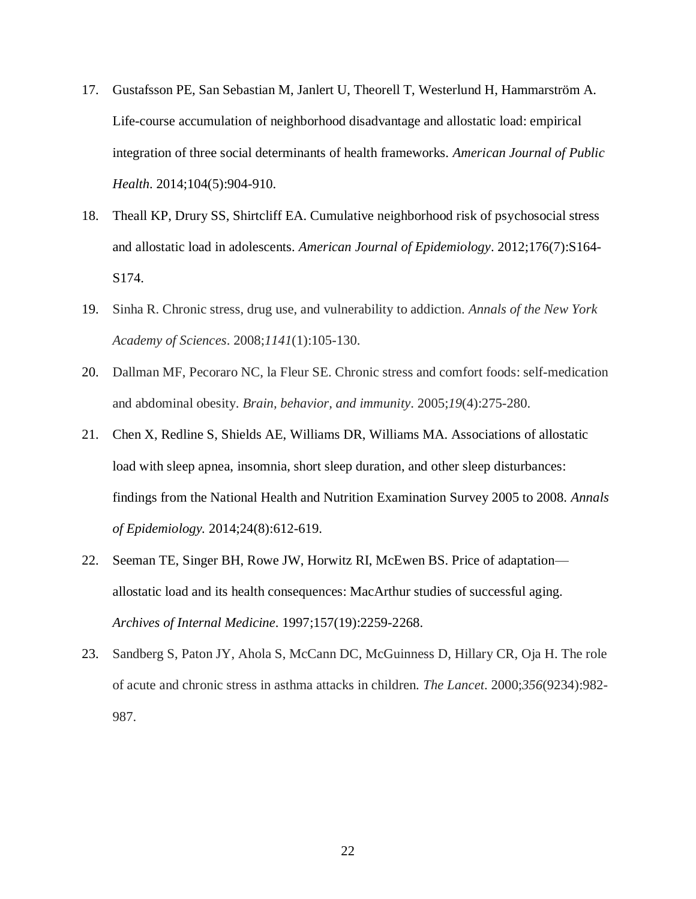- 17. Gustafsson PE, San Sebastian M, Janlert U, Theorell T, Westerlund H, Hammarström A. Life-course accumulation of neighborhood disadvantage and allostatic load: empirical integration of three social determinants of health frameworks. *American Journal of Public Health*. 2014;104(5):904-910.
- 18. Theall KP, Drury SS, Shirtcliff EA. Cumulative neighborhood risk of psychosocial stress and allostatic load in adolescents. *American Journal of Epidemiology*. 2012;176(7):S164- S174.
- 19. Sinha R. Chronic stress, drug use, and vulnerability to addiction. *Annals of the New York Academy of Sciences*. 2008;*1141*(1):105-130.
- 20. Dallman MF, Pecoraro NC, la Fleur SE. Chronic stress and comfort foods: self-medication and abdominal obesity. *Brain, behavior, and immunity*. 2005;*19*(4):275-280.
- 21. Chen X, Redline S, Shields AE, Williams DR, Williams MA. Associations of allostatic load with sleep apnea, insomnia, short sleep duration, and other sleep disturbances: findings from the National Health and Nutrition Examination Survey 2005 to 2008. *Annals of Epidemiology.* 2014;24(8):612-619.
- 22. Seeman TE, Singer BH, Rowe JW, Horwitz RI, McEwen BS. Price of adaptation allostatic load and its health consequences: MacArthur studies of successful aging. *Archives of Internal Medicine*. 1997;157(19):2259-2268.
- 23. Sandberg S, Paton JY, Ahola S, McCann DC, McGuinness D, Hillary CR, Oja H. The role of acute and chronic stress in asthma attacks in children. *The Lancet*. 2000;*356*(9234):982- 987.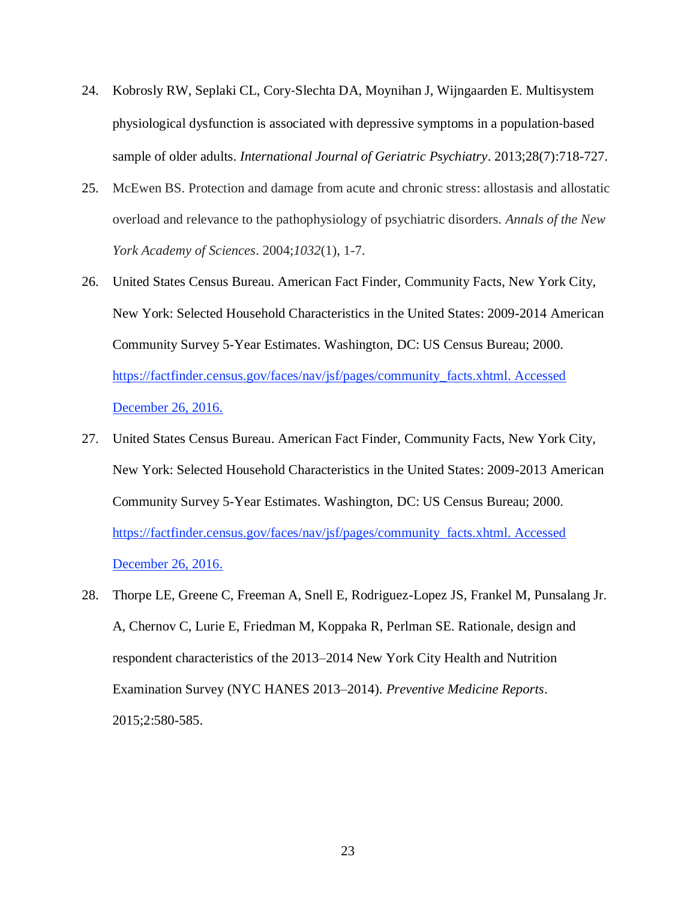- 24. Kobrosly RW, Seplaki CL, Cory‐Slechta DA, Moynihan J, Wijngaarden E. Multisystem physiological dysfunction is associated with depressive symptoms in a population‐based sample of older adults. *International Journal of Geriatric Psychiatry*. 2013;28(7):718-727.
- 25. McEwen BS. Protection and damage from acute and chronic stress: allostasis and allostatic overload and relevance to the pathophysiology of psychiatric disorders. *Annals of the New York Academy of Sciences*. 2004;*1032*(1), 1-7.
- 26. United States Census Bureau. American Fact Finder, Community Facts, New York City, New York: Selected Household Characteristics in the United States: 2009-2014 American Community Survey 5-Year Estimates. Washington, DC: US Census Bureau; 2000. https://factfinder.census.gov/faces/nav/jsf/pages/community\_facts.xhtml. Accessed December 26, 2016.
- 27. United States Census Bureau. American Fact Finder, Community Facts, New York City, New York: Selected Household Characteristics in the United States: 2009-2013 American Community Survey 5-Year Estimates. Washington, DC: US Census Bureau; 2000. https://factfinder.census.gov/faces/nav/jsf/pages/community\_facts.xhtml. Accessed December 26, 2016.
- 28. Thorpe LE, Greene C, Freeman A, Snell E, Rodriguez-Lopez JS, Frankel M, Punsalang Jr. A, Chernov C, Lurie E, Friedman M, Koppaka R, Perlman SE. Rationale, design and respondent characteristics of the 2013–2014 New York City Health and Nutrition Examination Survey (NYC HANES 2013–2014). *Preventive Medicine Reports*. 2015;2:580-585.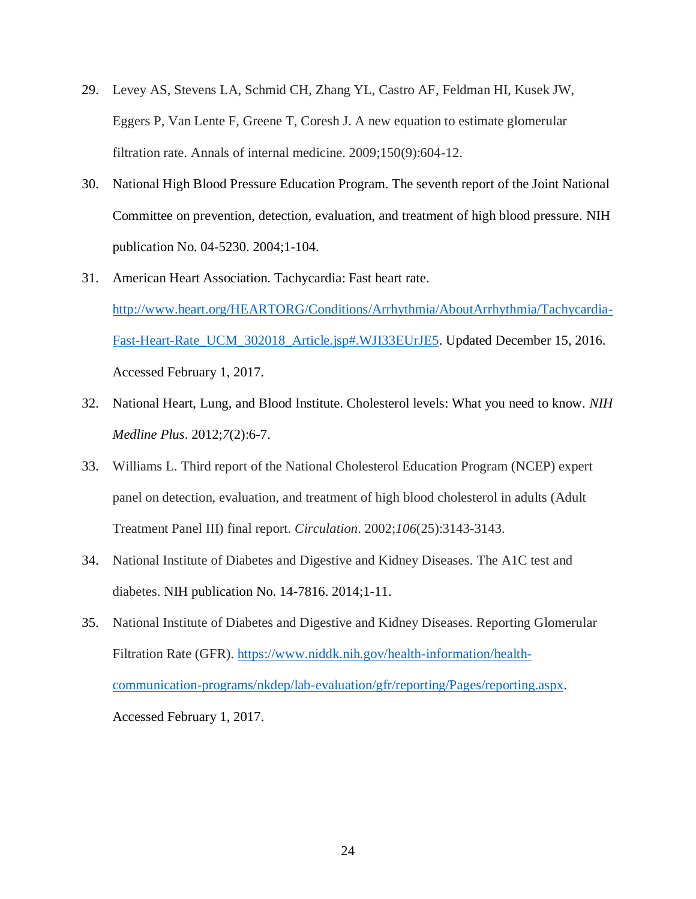- 29. Levey AS, Stevens LA, Schmid CH, Zhang YL, Castro AF, Feldman HI, Kusek JW, Eggers P, Van Lente F, Greene T, Coresh J. A new equation to estimate glomerular filtration rate. Annals of internal medicine. 2009;150(9):604-12.
- 30. National High Blood Pressure Education Program. The seventh report of the Joint National Committee on prevention, detection, evaluation, and treatment of high blood pressure. NIH publication No. 04-5230. 2004;1-104.
- 31. American Heart Association. Tachycardia: Fast heart rate. [http://www.heart.org/HEARTORG/Conditions/Arrhythmia/AboutArrhythmia/Tachycardia-](http://www.heart.org/HEARTORG/Conditions/Arrhythmia/AboutArrhythmia/Tachycardia-Fast-Heart-Rate_UCM_302018_Article.jsp#.WJI33EUrJE5)[Fast-Heart-Rate\\_UCM\\_302018\\_Article.jsp#.WJI33EUrJE5.](http://www.heart.org/HEARTORG/Conditions/Arrhythmia/AboutArrhythmia/Tachycardia-Fast-Heart-Rate_UCM_302018_Article.jsp#.WJI33EUrJE5) Updated December 15, 2016. Accessed February 1, 2017.
- 32. National Heart, Lung, and Blood Institute. Cholesterol levels: What you need to know. *NIH Medline Plus*. 2012;*7*(2):6-7.
- 33. Williams L. Third report of the National Cholesterol Education Program (NCEP) expert panel on detection, evaluation, and treatment of high blood cholesterol in adults (Adult Treatment Panel III) final report. *Circulation*. 2002;*106*(25):3143-3143.
- 34. National Institute of Diabetes and Digestive and Kidney Diseases. The A1C test and diabetes. NIH publication No. 14-7816. 2014;1-11.
- 35. National Institute of Diabetes and Digestive and Kidney Diseases. Reporting Glomerular Filtration Rate (GFR). [https://www.niddk.nih.gov/health-information/health](https://www.niddk.nih.gov/health-information/health-communication-programs/nkdep/lab-evaluation/gfr/reporting/Pages/reporting.aspx)[communication-programs/nkdep/lab-evaluation/gfr/reporting/Pages/reporting.aspx.](https://www.niddk.nih.gov/health-information/health-communication-programs/nkdep/lab-evaluation/gfr/reporting/Pages/reporting.aspx) Accessed February 1, 2017.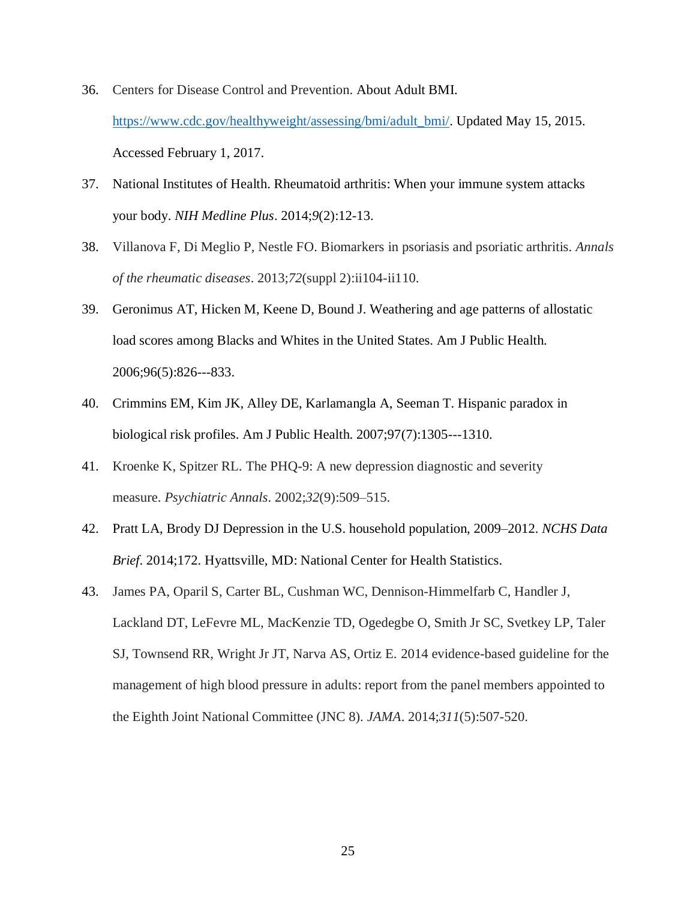- 36. Centers for Disease Control and Prevention. About Adult BMI. [https://www.cdc.gov/healthyweight/assessing/bmi/adult\\_bmi/.](https://www.cdc.gov/healthyweight/assessing/bmi/adult_bmi/) Updated May 15, 2015. Accessed February 1, 2017.
- 37. National Institutes of Health. Rheumatoid arthritis: When your immune system attacks your body. *NIH Medline Plus*. 2014;*9*(2):12-13.
- 38. Villanova F, Di Meglio P, Nestle FO. Biomarkers in psoriasis and psoriatic arthritis. *Annals of the rheumatic diseases*. 2013;*72*(suppl 2):ii104-ii110.
- 39. Geronimus AT, Hicken M, Keene D, Bound J. Weathering and age patterns of allostatic load scores among Blacks and Whites in the United States. Am J Public Health. 2006;96(5):826---833.
- 40. Crimmins EM, Kim JK, Alley DE, Karlamangla A, Seeman T. Hispanic paradox in biological risk profiles. Am J Public Health. 2007;97(7):1305---1310.
- 41. Kroenke K, Spitzer RL. The PHQ-9: A new depression diagnostic and severity measure. *Psychiatric Annals*. 2002;*32*(9):509–515.
- 42. Pratt LA, Brody DJ Depression in the U.S. household population, 2009–2012. *NCHS Data Brief*. 2014;172. Hyattsville, MD: National Center for Health Statistics.
- 43. James PA, Oparil S, Carter BL, Cushman WC, Dennison-Himmelfarb C, Handler J, Lackland DT, LeFevre ML, MacKenzie TD, Ogedegbe O, Smith Jr SC, Svetkey LP, Taler SJ, Townsend RR, Wright Jr JT, Narva AS, Ortiz E. 2014 evidence-based guideline for the management of high blood pressure in adults: report from the panel members appointed to the Eighth Joint National Committee (JNC 8). *JAMA*. 2014;*311*(5):507-520.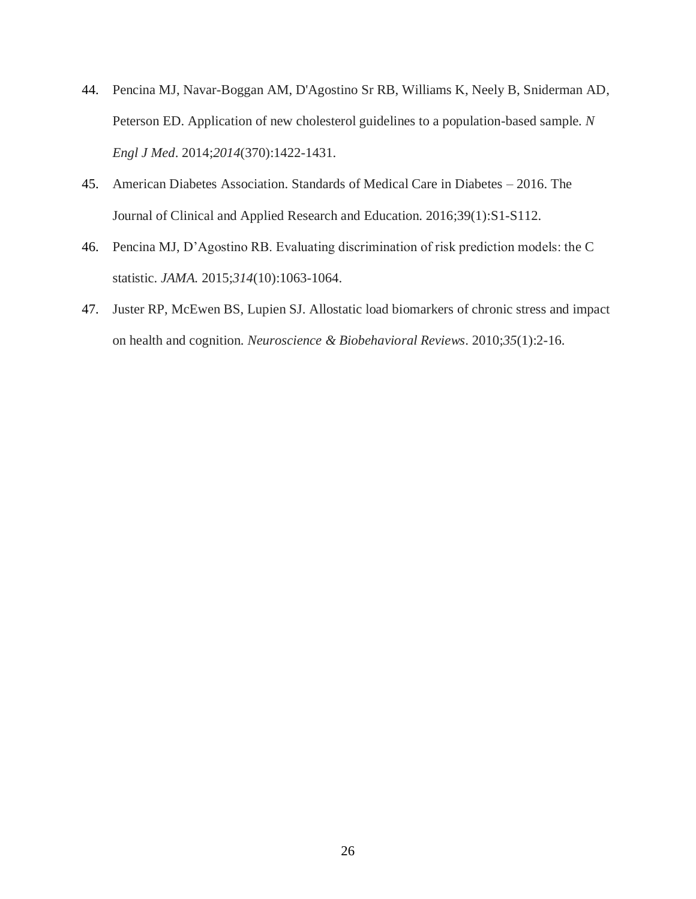- 44. Pencina MJ, Navar-Boggan AM, D'Agostino Sr RB, Williams K, Neely B, Sniderman AD, Peterson ED. Application of new cholesterol guidelines to a population-based sample. *N Engl J Med*. 2014;*2014*(370):1422-1431.
- 45. American Diabetes Association. Standards of Medical Care in Diabetes 2016. The Journal of Clinical and Applied Research and Education. 2016;39(1):S1-S112.
- 46. Pencina MJ, D'Agostino RB. Evaluating discrimination of risk prediction models: the C statistic. *JAMA.* 2015;*314*(10):1063-1064.
- 47. Juster RP, McEwen BS, Lupien SJ. Allostatic load biomarkers of chronic stress and impact on health and cognition. *Neuroscience & Biobehavioral Reviews*. 2010;*35*(1):2-16.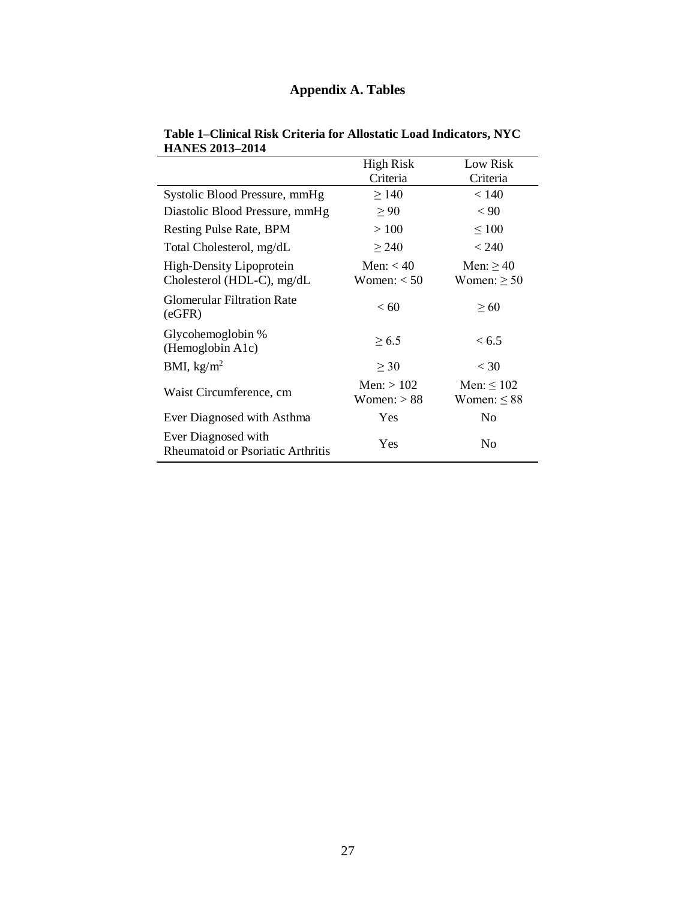# **Appendix A. Tables**

|                                                          | <b>High Risk</b><br>Criteria  | Low Risk<br>Criteria                |
|----------------------------------------------------------|-------------------------------|-------------------------------------|
| Systolic Blood Pressure, mmHg                            | $\geq$ 140                    | < 140                               |
| Diastolic Blood Pressure, mmHg                           | $\geq 90$                     | < 90                                |
| Resting Pulse Rate, BPM                                  | >100                          | $\leq 100$                          |
| Total Cholesterol, mg/dL                                 | $\geq$ 240                    | < 240                               |
| High-Density Lipoprotein<br>Cholesterol (HDL-C), mg/dL   | Men: $< 40$<br>Women: $<$ 50  | Men: $\geq$ 40<br>Women: $\geq 50$  |
| <b>Glomerular Filtration Rate</b><br>(eGFR)              | < 60                          | $\geq 60$                           |
| Glycohemoglobin %<br>(Hemoglobin A1c)                    | $\geq 6.5$                    | < 6.5                               |
| BMI, $\text{kg/m}^2$                                     | $\geq 30$                     | $<$ 30                              |
| Waist Circumference, cm                                  | Men: $> 102$<br>Women: $> 88$ | Men: $\leq 102$<br>Women: $\leq 88$ |
| Ever Diagnosed with Asthma                               | Yes                           | No                                  |
| Ever Diagnosed with<br>Rheumatoid or Psoriatic Arthritis | Yes                           | No.                                 |

#### **Table 1–Clinical Risk Criteria for Allostatic Load Indicators, NYC HANES 2013–2014**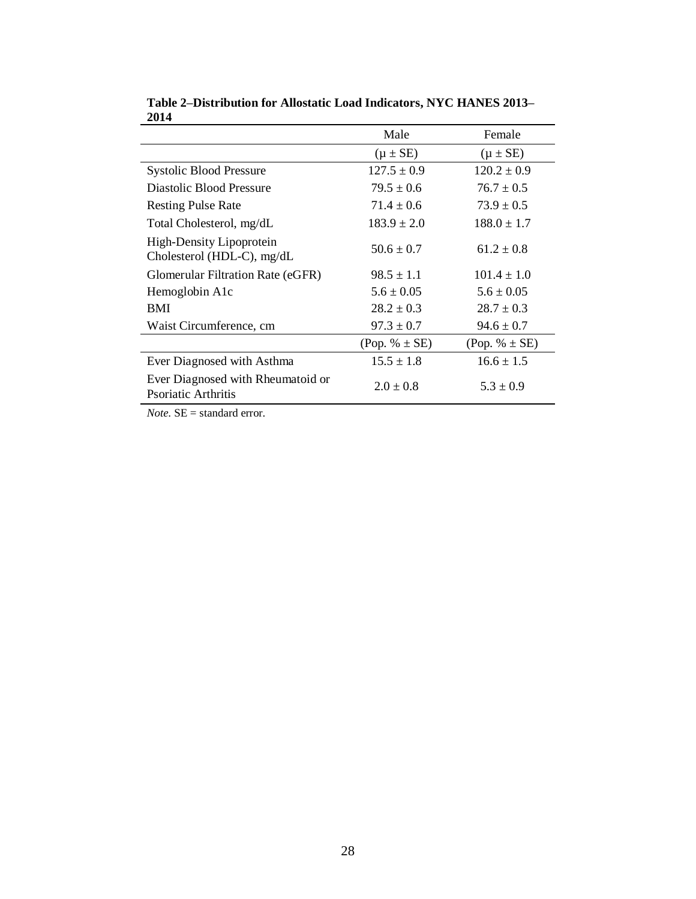|                                                          | Male              | Female             |
|----------------------------------------------------------|-------------------|--------------------|
|                                                          | $(\mu \pm SE)$    | $(\mu \pm SE)$     |
| <b>Systolic Blood Pressure</b>                           | $127.5 \pm 0.9$   | $120.2 \pm 0.9$    |
| Diastolic Blood Pressure                                 | $79.5 \pm 0.6$    | $76.7 \pm 0.5$     |
| <b>Resting Pulse Rate</b>                                | $71.4 \pm 0.6$    | $73.9 \pm 0.5$     |
| Total Cholesterol, mg/dL                                 | $183.9 \pm 2.0$   | $188.0 \pm 1.7$    |
| High-Density Lipoprotein<br>Cholesterol (HDL-C), mg/dL   | $50.6 \pm 0.7$    | $61.2 \pm 0.8$     |
| <b>Glomerular Filtration Rate (eGFR)</b>                 | $98.5 \pm 1.1$    | $101.4 \pm 1.0$    |
| Hemoglobin A1c                                           | $5.6 \pm 0.05$    | $5.6 \pm 0.05$     |
| <b>BMI</b>                                               | $28.2 \pm 0.3$    | $28.7 \pm 0.3$     |
| Waist Circumference, cm                                  | $97.3 \pm 0.7$    | $94.6 \pm 0.7$     |
|                                                          | (Pop. % $\pm$ SE) | $(Pop. \% \pm SE)$ |
| Ever Diagnosed with Asthma                               | $15.5 \pm 1.8$    | $16.6 \pm 1.5$     |
| Ever Diagnosed with Rheumatoid or<br>Psoriatic Arthritis | $2.0 \pm 0.8$     | $5.3 \pm 0.9$      |

**Table 2–Distribution for Allostatic Load Indicators, NYC HANES 2013– 2014**

*Note.* SE = standard error.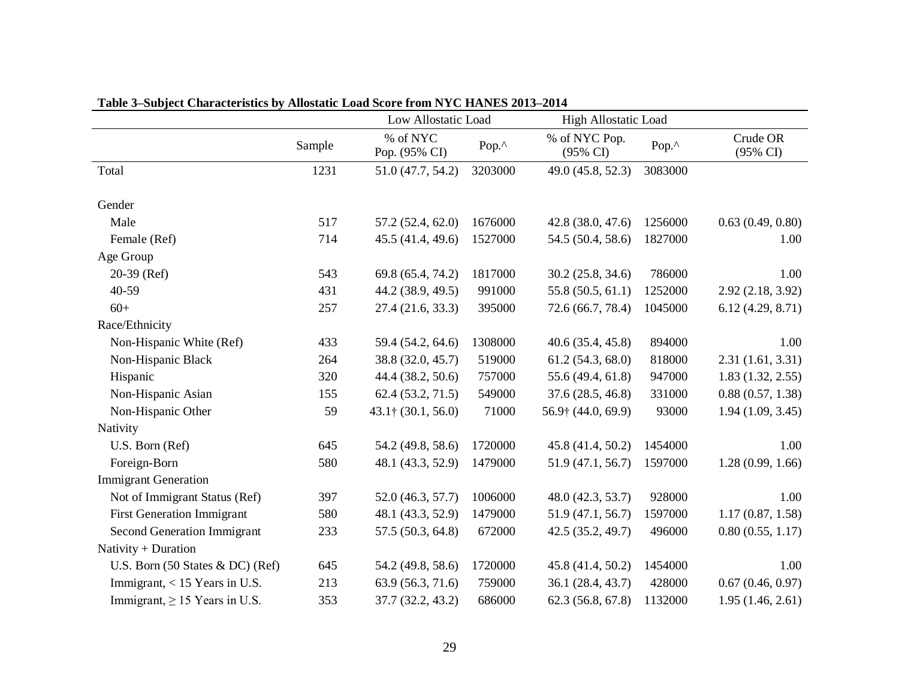|                                                     |        | Low Allostatic Load        |         | <b>High Allostatic Load</b>          |         |                      |
|-----------------------------------------------------|--------|----------------------------|---------|--------------------------------------|---------|----------------------|
|                                                     | Sample | % of NYC<br>Pop. (95% CI)  | Pop.^   | % of NYC Pop.<br>$(95\% \text{ CI})$ | Pop.^   | Crude OR<br>(95% CI) |
| Total                                               | 1231   | 51.0 (47.7, 54.2)          | 3203000 | 49.0 (45.8, 52.3)                    | 3083000 |                      |
| Gender                                              |        |                            |         |                                      |         |                      |
| Male                                                | 517    | 57.2(52.4, 62.0)           | 1676000 | 42.8 (38.0, 47.6)                    | 1256000 | 0.63(0.49, 0.80)     |
| Female (Ref)                                        | 714    | 45.5(41.4, 49.6)           | 1527000 | 54.5 (50.4, 58.6)                    | 1827000 | 1.00                 |
| Age Group                                           |        |                            |         |                                      |         |                      |
| $20-39$ (Ref)                                       | 543    | 69.8 (65.4, 74.2)          | 1817000 | 30.2(25.8, 34.6)                     | 786000  | 1.00                 |
| 40-59                                               | 431    | 44.2 (38.9, 49.5)          | 991000  | 55.8 (50.5, 61.1)                    | 1252000 | 2.92(2.18, 3.92)     |
| $60+$                                               | 257    | 27.4(21.6, 33.3)           | 395000  | 72.6 (66.7, 78.4)                    | 1045000 | 6.12(4.29, 8.71)     |
| Race/Ethnicity                                      |        |                            |         |                                      |         |                      |
| Non-Hispanic White (Ref)                            | 433    | 59.4 (54.2, 64.6)          | 1308000 | 40.6(35.4, 45.8)                     | 894000  | 1.00                 |
| Non-Hispanic Black                                  | 264    | 38.8 (32.0, 45.7)          | 519000  | 61.2(54.3, 68.0)                     | 818000  | 2.31(1.61, 3.31)     |
| Hispanic                                            | 320    | 44.4 (38.2, 50.6)          | 757000  | 55.6 (49.4, 61.8)                    | 947000  | 1.83(1.32, 2.55)     |
| Non-Hispanic Asian                                  | 155    | 62.4(53.2, 71.5)           | 549000  | 37.6(28.5, 46.8)                     | 331000  | 0.88(0.57, 1.38)     |
| Non-Hispanic Other                                  | 59     | $43.1\uparrow(30.1, 56.0)$ | 71000   | 56.9† (44.0, 69.9)                   | 93000   | 1.94(1.09, 3.45)     |
| Nativity                                            |        |                            |         |                                      |         |                      |
| U.S. Born (Ref)                                     | 645    | 54.2 (49.8, 58.6)          | 1720000 | 45.8 (41.4, 50.2)                    | 1454000 | 1.00                 |
| Foreign-Born                                        | 580    | 48.1 (43.3, 52.9)          | 1479000 | 51.9 (47.1, 56.7)                    | 1597000 | 1.28(0.99, 1.66)     |
| <b>Immigrant Generation</b>                         |        |                            |         |                                      |         |                      |
| Not of Immigrant Status (Ref)                       | 397    | 52.0 (46.3, 57.7)          | 1006000 | 48.0 (42.3, 53.7)                    | 928000  | 1.00                 |
| <b>First Generation Immigrant</b>                   | 580    | 48.1 (43.3, 52.9)          | 1479000 | 51.9(47.1, 56.7)                     | 1597000 | 1.17(0.87, 1.58)     |
| <b>Second Generation Immigrant</b>                  | 233    | 57.5 (50.3, 64.8)          | 672000  | 42.5 (35.2, 49.7)                    | 496000  | 0.80(0.55, 1.17)     |
| Nativity + Duration                                 |        |                            |         |                                      |         |                      |
| U.S. Born $(50 \text{ States } \& \text{DC})$ (Ref) | 645    | 54.2 (49.8, 58.6)          | 1720000 | 45.8 (41.4, 50.2)                    | 1454000 | 1.00                 |
| Immigrant, $<$ 15 Years in U.S.                     | 213    | 63.9 (56.3, 71.6)          | 759000  | 36.1 (28.4, 43.7)                    | 428000  | 0.67(0.46, 0.97)     |
| Immigrant, $\geq$ 15 Years in U.S.                  | 353    | 37.7 (32.2, 43.2)          | 686000  | 62.3(56.8, 67.8)                     | 1132000 | 1.95(1.46, 2.61)     |

**Table 3–Subject Characteristics by Allostatic Load Score from NYC HANES 2013–2014**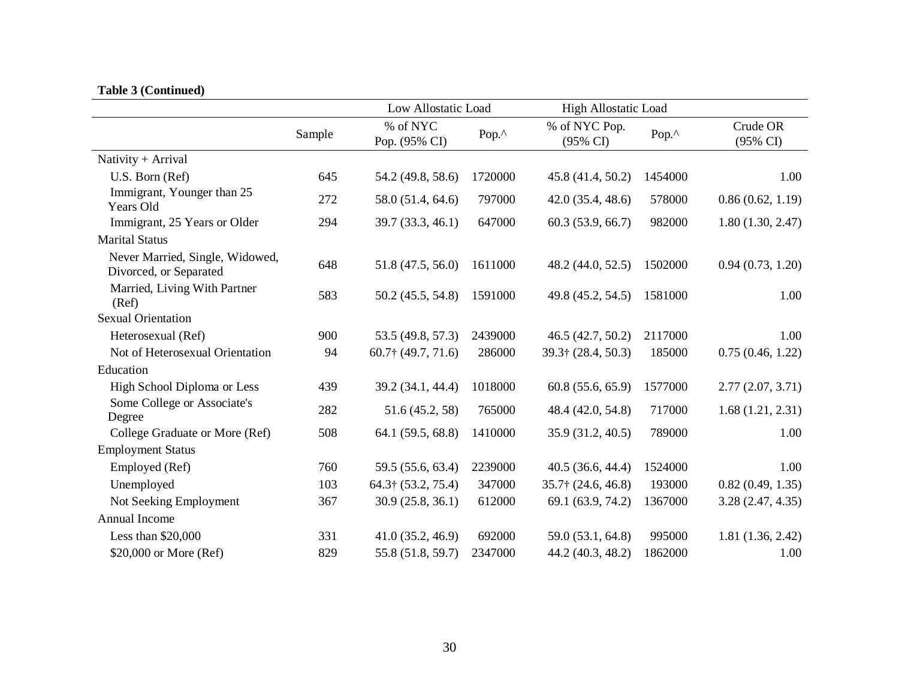## **Table 3 (Continued)**

|                                                           |        | Low Allostatic Load       |         | <b>High Allostatic Load</b> |         |                      |
|-----------------------------------------------------------|--------|---------------------------|---------|-----------------------------|---------|----------------------|
|                                                           | Sample | % of NYC<br>Pop. (95% CI) | Pop.^   | % of NYC Pop.<br>(95% CI)   | Pop.^   | Crude OR<br>(95% CI) |
| Nativity + Arrival                                        |        |                           |         |                             |         |                      |
| U.S. Born (Ref)                                           | 645    | 54.2 (49.8, 58.6)         | 1720000 | 45.8 (41.4, 50.2)           | 1454000 | 1.00                 |
| Immigrant, Younger than 25<br>Years Old                   | 272    | 58.0 (51.4, 64.6)         | 797000  | 42.0(35.4, 48.6)            | 578000  | 0.86(0.62, 1.19)     |
| Immigrant, 25 Years or Older                              | 294    | 39.7 (33.3, 46.1)         | 647000  | 60.3(53.9, 66.7)            | 982000  | 1.80(1.30, 2.47)     |
| <b>Marital Status</b>                                     |        |                           |         |                             |         |                      |
| Never Married, Single, Widowed,<br>Divorced, or Separated | 648    | 51.8 (47.5, 56.0)         | 1611000 | 48.2 (44.0, 52.5)           | 1502000 | 0.94(0.73, 1.20)     |
| Married, Living With Partner<br>(Ref)                     | 583    | 50.2 (45.5, 54.8)         | 1591000 | 49.8 (45.2, 54.5)           | 1581000 | 1.00                 |
| <b>Sexual Orientation</b>                                 |        |                           |         |                             |         |                      |
| Heterosexual (Ref)                                        | 900    | 53.5 (49.8, 57.3)         | 2439000 | 46.5(42.7, 50.2)            | 2117000 | 1.00                 |
| Not of Heterosexual Orientation                           | 94     | $60.7$ † (49.7, 71.6)     | 286000  | 39.3† (28.4, 50.3)          | 185000  | 0.75(0.46, 1.22)     |
| Education                                                 |        |                           |         |                             |         |                      |
| High School Diploma or Less                               | 439    | 39.2 (34.1, 44.4)         | 1018000 | 60.8(55.6, 65.9)            | 1577000 | 2.77(2.07, 3.71)     |
| Some College or Associate's<br>Degree                     | 282    | 51.6 (45.2, 58)           | 765000  | 48.4 (42.0, 54.8)           | 717000  | 1.68(1.21, 2.31)     |
| College Graduate or More (Ref)                            | 508    | 64.1 (59.5, 68.8)         | 1410000 | 35.9 (31.2, 40.5)           | 789000  | 1.00                 |
| <b>Employment Status</b>                                  |        |                           |         |                             |         |                      |
| Employed (Ref)                                            | 760    | 59.5 (55.6, 63.4)         | 2239000 | 40.5(36.6, 44.4)            | 1524000 | 1.00                 |
| Unemployed                                                | 103    | 64.3† (53.2, 75.4)        | 347000  | $35.7\uparrow$ (24.6, 46.8) | 193000  | 0.82(0.49, 1.35)     |
| Not Seeking Employment                                    | 367    | 30.9(25.8, 36.1)          | 612000  | 69.1 (63.9, 74.2)           | 1367000 | 3.28(2.47, 4.35)     |
| Annual Income                                             |        |                           |         |                             |         |                      |
| Less than $$20,000$                                       | 331    | 41.0(35.2, 46.9)          | 692000  | 59.0 (53.1, 64.8)           | 995000  | 1.81(1.36, 2.42)     |
| \$20,000 or More (Ref)                                    | 829    | 55.8 (51.8, 59.7)         | 2347000 | 44.2 (40.3, 48.2)           | 1862000 | 1.00                 |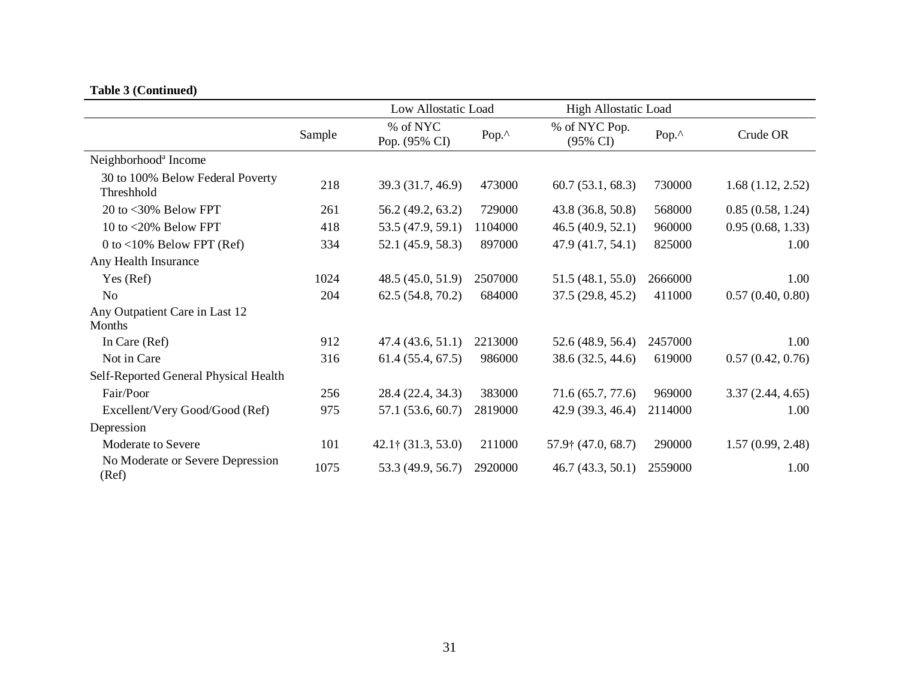## **Table 3 (Continued)**

|                                                |        | Low Allostatic Load         |         | <b>High Allostatic Load</b>          |         |                  |
|------------------------------------------------|--------|-----------------------------|---------|--------------------------------------|---------|------------------|
|                                                | Sample | % of NYC<br>Pop. (95% CI)   | Pop.^   | % of NYC Pop.<br>$(95\% \text{ CI})$ | Pop.^   | Crude OR         |
| Neighborhood <sup>a</sup> Income               |        |                             |         |                                      |         |                  |
| 30 to 100% Below Federal Poverty<br>Threshhold | 218    | 39.3 (31.7, 46.9)           | 473000  | 60.7(53.1, 68.3)                     | 730000  | 1.68(1.12, 2.52) |
| 20 to <30% Below FPT                           | 261    | 56.2 (49.2, 63.2)           | 729000  | 43.8 (36.8, 50.8)                    | 568000  | 0.85(0.58, 1.24) |
| 10 to <20% Below FPT                           | 418    | 53.5 (47.9, 59.1)           | 1104000 | 46.5(40.9, 52.1)                     | 960000  | 0.95(0.68, 1.33) |
| 0 to $<$ 10% Below FPT (Ref)                   | 334    | 52.1 (45.9, 58.3)           | 897000  | 47.9 (41.7, 54.1)                    | 825000  | 1.00             |
| Any Health Insurance                           |        |                             |         |                                      |         |                  |
| Yes (Ref)                                      | 1024   | 48.5(45.0, 51.9)            | 2507000 | 51.5(48.1, 55.0)                     | 2666000 | 1.00             |
| No                                             | 204    | 62.5(54.8, 70.2)            | 684000  | 37.5(29.8, 45.2)                     | 411000  | 0.57(0.40, 0.80) |
| Any Outpatient Care in Last 12<br>Months       |        |                             |         |                                      |         |                  |
| In Care (Ref)                                  | 912    | 47.4(43.6, 51.1)            | 2213000 | 52.6 (48.9, 56.4)                    | 2457000 | 1.00             |
| Not in Care                                    | 316    | 61.4(55.4, 67.5)            | 986000  | 38.6 (32.5, 44.6)                    | 619000  | 0.57(0.42, 0.76) |
| Self-Reported General Physical Health          |        |                             |         |                                      |         |                  |
| Fair/Poor                                      | 256    | 28.4 (22.4, 34.3)           | 383000  | 71.6 (65.7, 77.6)                    | 969000  | 3.37(2.44, 4.65) |
| Excellent/Very Good/Good (Ref)                 | 975    | 57.1 (53.6, 60.7)           | 2819000 | 42.9(39.3, 46.4)                     | 2114000 | 1.00             |
| Depression                                     |        |                             |         |                                      |         |                  |
| <b>Moderate to Severe</b>                      | 101    | $42.1\uparrow$ (31.3, 53.0) | 211000  | $57.9$ † (47.0, 68.7)                | 290000  | 1.57(0.99, 2.48) |
| No Moderate or Severe Depression<br>(Ref)      | 1075   | 53.3 (49.9, 56.7)           | 2920000 | 46.7(43.3, 50.1)                     | 2559000 | 1.00             |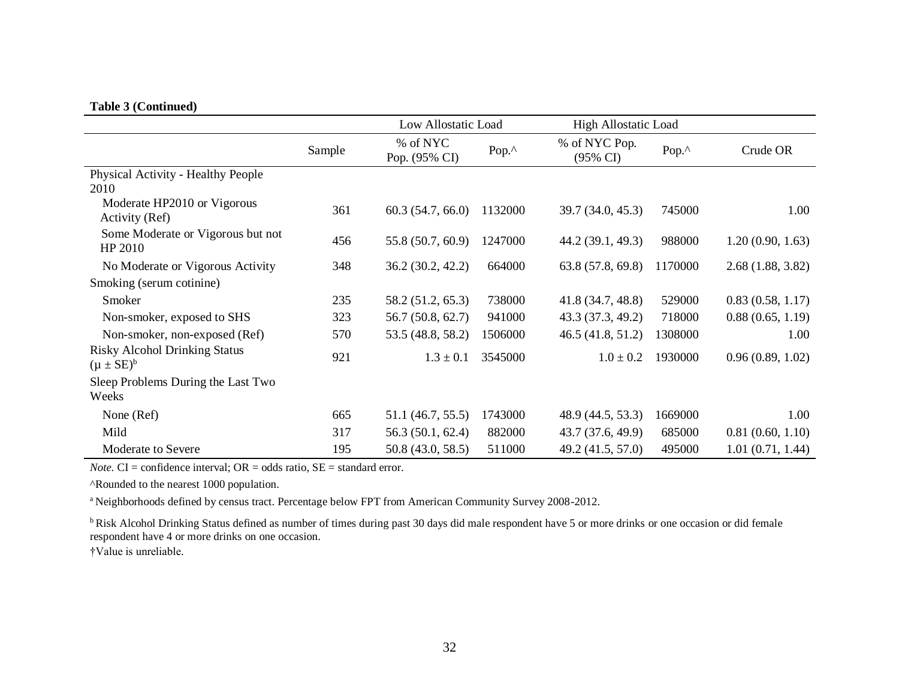### **Table 3 (Continued)**

|                                                          |        | Low Allostatic Load       |         | <b>High Allostatic Load</b> |               |                  |
|----------------------------------------------------------|--------|---------------------------|---------|-----------------------------|---------------|------------------|
|                                                          | Sample | % of NYC<br>Pop. (95% CI) | Pop.^   | % of NYC Pop.<br>(95% CI)   | Pop. $\wedge$ | Crude OR         |
| Physical Activity - Healthy People<br>2010               |        |                           |         |                             |               |                  |
| Moderate HP2010 or Vigorous<br>Activity (Ref)            | 361    | 60.3(54.7, 66.0)          | 1132000 | 39.7 (34.0, 45.3)           | 745000        | 1.00             |
| Some Moderate or Vigorous but not<br>HP 2010             | 456    | 55.8 (50.7, 60.9)         | 1247000 | 44.2 (39.1, 49.3)           | 988000        | 1.20(0.90, 1.63) |
| No Moderate or Vigorous Activity                         | 348    | 36.2(30.2, 42.2)          | 664000  | 63.8(57.8, 69.8)            | 1170000       | 2.68(1.88, 3.82) |
| Smoking (serum cotinine)                                 |        |                           |         |                             |               |                  |
| Smoker                                                   | 235    | 58.2 (51.2, 65.3)         | 738000  | 41.8 (34.7, 48.8)           | 529000        | 0.83(0.58, 1.17) |
| Non-smoker, exposed to SHS                               | 323    | 56.7 (50.8, 62.7)         | 941000  | 43.3 (37.3, 49.2)           | 718000        | 0.88(0.65, 1.19) |
| Non-smoker, non-exposed (Ref)                            | 570    | 53.5 (48.8, 58.2)         | 1506000 | 46.5(41.8, 51.2)            | 1308000       | 1.00             |
| <b>Risky Alcohol Drinking Status</b><br>$(\mu \pm SE)^b$ | 921    | $1.3 \pm 0.1$             | 3545000 | $1.0 \pm 0.2$               | 1930000       | 0.96(0.89, 1.02) |
| Sleep Problems During the Last Two<br>Weeks              |        |                           |         |                             |               |                  |
| None (Ref)                                               | 665    | 51.1 (46.7, 55.5)         | 1743000 | 48.9 (44.5, 53.3)           | 1669000       | 1.00             |
| Mild                                                     | 317    | 56.3(50.1, 62.4)          | 882000  | 43.7 (37.6, 49.9)           | 685000        | 0.81(0.60, 1.10) |
| Moderate to Severe                                       | 195    | 50.8 (43.0, 58.5)         | 511000  | 49.2 (41.5, 57.0)           | 495000        | 1.01(0.71, 1.44) |

*Note.* CI = confidence interval;  $OR = odds ratio$ ,  $SE = standard error$ .

^Rounded to the nearest 1000 population.

<sup>a</sup> Neighborhoods defined by census tract. Percentage below FPT from American Community Survey 2008-2012.

<sup>b</sup>Risk Alcohol Drinking Status defined as number of times during past 30 days did male respondent have 5 or more drinks or one occasion or did female respondent have 4 or more drinks on one occasion.

†Value is unreliable.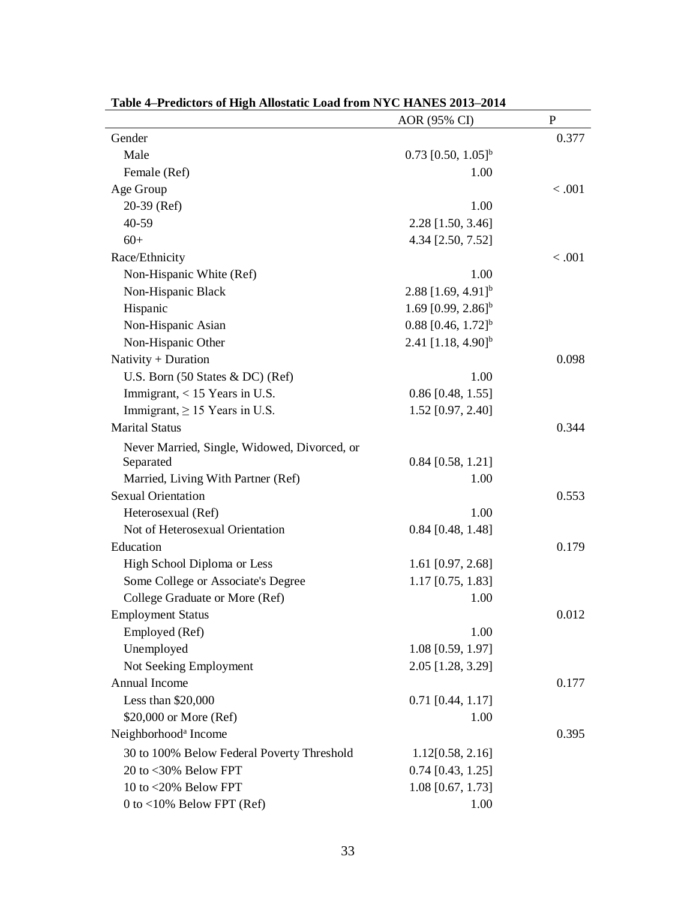| Table 4–Predictors of Filgh Anostatic Load from N TC FIANES 2013–2014 | AOR (95% CI)                     | $\mathbf P$ |
|-----------------------------------------------------------------------|----------------------------------|-------------|
| Gender                                                                |                                  | 0.377       |
| Male                                                                  | $0.73$ [0.50, 1.05] <sup>b</sup> |             |
| Female (Ref)                                                          | 1.00                             |             |
| Age Group                                                             |                                  | < .001      |
| 20-39 (Ref)                                                           | 1.00                             |             |
| 40-59                                                                 | 2.28 [1.50, 3.46]                |             |
| $60+$                                                                 | 4.34 [2.50, 7.52]                |             |
| Race/Ethnicity                                                        |                                  | < .001      |
| Non-Hispanic White (Ref)                                              | 1.00                             |             |
| Non-Hispanic Black                                                    | $2.88$ [1.69, 4.91] <sup>b</sup> |             |
| Hispanic                                                              | 1.69 $[0.99, 2.86]$ <sup>b</sup> |             |
| Non-Hispanic Asian                                                    | $0.88$ [0.46, 1.72] <sup>b</sup> |             |
| Non-Hispanic Other                                                    | 2.41 $[1.18, 4.90]$ <sup>b</sup> |             |
| Nativity + Duration                                                   |                                  | 0.098       |
| U.S. Born $(50$ States & DC $)$ (Ref)                                 | 1.00                             |             |
| Immigrant, $<$ 15 Years in U.S.                                       | $0.86$ [0.48, 1.55]              |             |
| Immigrant, $\geq$ 15 Years in U.S.                                    | 1.52 [0.97, 2.40]                |             |
| <b>Marital Status</b>                                                 |                                  | 0.344       |
| Never Married, Single, Widowed, Divorced, or                          |                                  |             |
| Separated                                                             | $0.84$ [0.58, 1.21]              |             |
| Married, Living With Partner (Ref)                                    | 1.00                             |             |
| <b>Sexual Orientation</b>                                             |                                  | 0.553       |
| Heterosexual (Ref)                                                    | 1.00                             |             |
| Not of Heterosexual Orientation                                       | $0.84$ [0.48, 1.48]              |             |
| Education                                                             |                                  | 0.179       |
| High School Diploma or Less                                           | 1.61 [0.97, 2.68]                |             |
| Some College or Associate's Degree                                    | $1.17$ [0.75, 1.83]              |             |
| College Graduate or More (Ref)                                        | 1.00                             |             |
| <b>Employment Status</b>                                              |                                  | 0.012       |
| Employed (Ref)                                                        | 1.00                             |             |
| Unemployed                                                            | 1.08 [0.59, 1.97]                |             |
| Not Seeking Employment                                                | 2.05 [1.28, 3.29]                |             |
| <b>Annual Income</b>                                                  |                                  | 0.177       |
| Less than \$20,000                                                    | $0.71$ [0.44, 1.17]              |             |
| \$20,000 or More (Ref)                                                | 1.00                             |             |
| Neighborhood <sup>a</sup> Income                                      |                                  | 0.395       |
| 30 to 100% Below Federal Poverty Threshold                            | 1.12[0.58, 2.16]                 |             |
| 20 to <30% Below FPT                                                  | $0.74$ [0.43, 1.25]              |             |
| 10 to $<$ 20% Below FPT                                               | 1.08 [0.67, 1.73]                |             |
| $0$ to <10% Below FPT (Ref)                                           | 1.00                             |             |
|                                                                       |                                  |             |

**Table 4–Predictors of High Allostatic Load from NYC HANES 2013–2014**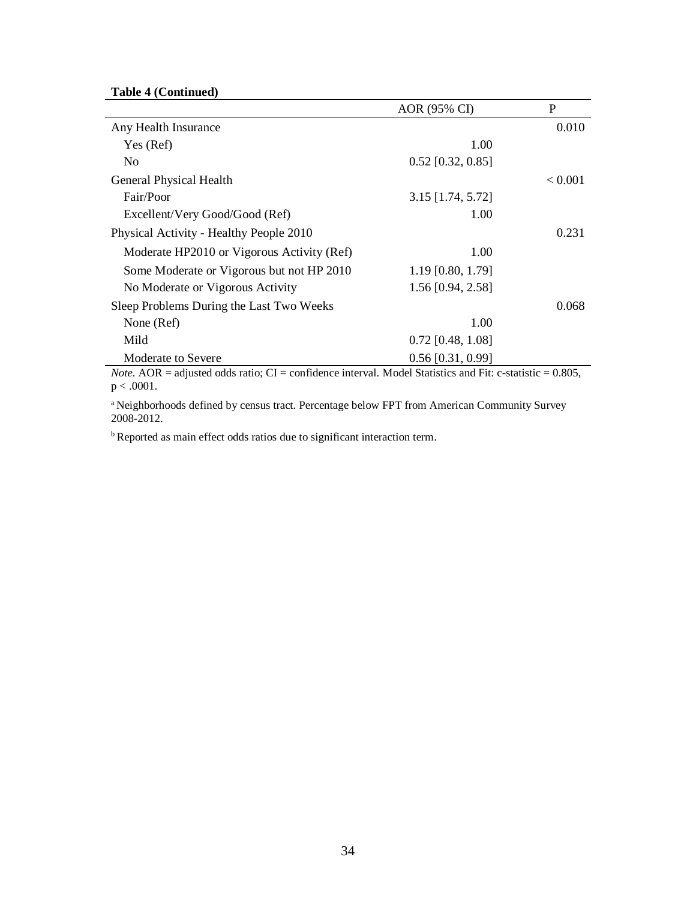# **Table 4 (Continued)**

|                                            | AOR (95% CI)        | P       |
|--------------------------------------------|---------------------|---------|
| Any Health Insurance                       |                     | 0.010   |
| Yes (Ref)                                  | 1.00                |         |
| No                                         | $0.52$ [0.32, 0.85] |         |
| General Physical Health                    |                     | < 0.001 |
| Fair/Poor                                  | $3.15$ [1.74, 5.72] |         |
| Excellent/Very Good/Good (Ref)             | 1.00                |         |
| Physical Activity - Healthy People 2010    |                     | 0.231   |
| Moderate HP2010 or Vigorous Activity (Ref) | 1.00                |         |
| Some Moderate or Vigorous but not HP 2010  | 1.19 [0.80, 1.79]   |         |
| No Moderate or Vigorous Activity           | 1.56 [0.94, 2.58]   |         |
| Sleep Problems During the Last Two Weeks   |                     | 0.068   |
| None (Ref)                                 | 1.00                |         |
| Mild                                       | $0.72$ [0.48, 1.08] |         |
| Moderate to Severe                         | $0.56$ [0.31, 0.99] |         |

*Note.* AOR = adjusted odds ratio; CI = confidence interval. Model Statistics and Fit: c-statistic = 0.805, p < .0001.

<sup>a</sup> Neighborhoods defined by census tract. Percentage below FPT from American Community Survey 2008-2012.

b Reported as main effect odds ratios due to significant interaction term.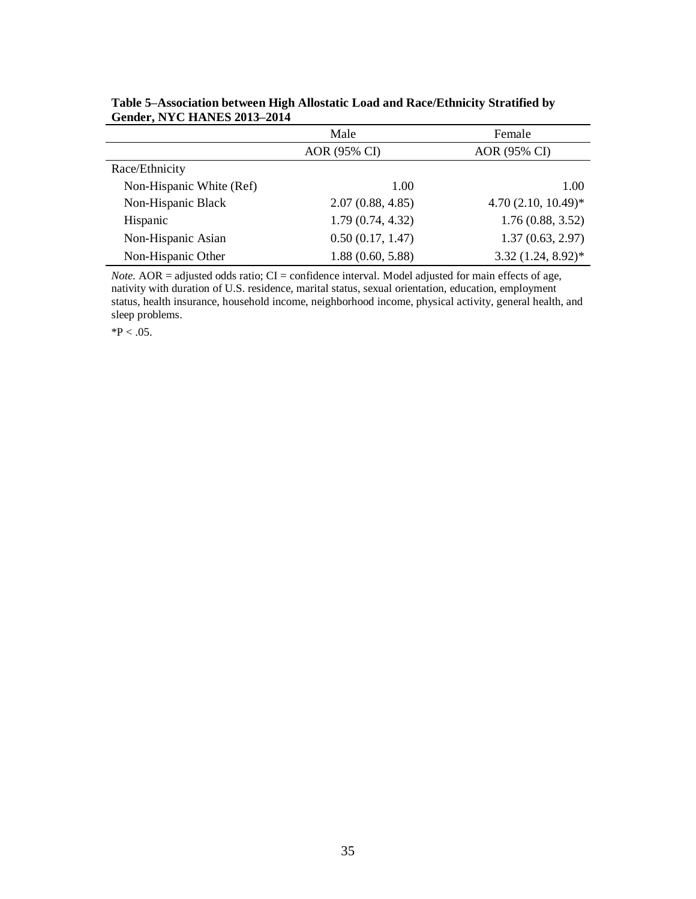|                          | Male             | Female                |
|--------------------------|------------------|-----------------------|
|                          | AOR (95% CI)     | AOR (95% CI)          |
| Race/Ethnicity           |                  |                       |
| Non-Hispanic White (Ref) | 1.00             | 1.00                  |
| Non-Hispanic Black       | 2.07(0.88, 4.85) | $4.70(2.10, 10.49)^*$ |
| Hispanic                 | 1.79(0.74, 4.32) | 1.76(0.88, 3.52)      |
| Non-Hispanic Asian       | 0.50(0.17, 1.47) | 1.37(0.63, 2.97)      |
| Non-Hispanic Other       | 1.88(0.60, 5.88) | $3.32(1.24, 8.92)^*$  |

**Table 5–Association between High Allostatic Load and Race/Ethnicity Stratified by Gender, NYC HANES 2013–2014**

*Note.* AOR = adjusted odds ratio; CI = confidence interval. Model adjusted for main effects of age, nativity with duration of U.S. residence, marital status, sexual orientation, education, employment status, health insurance, household income, neighborhood income, physical activity, general health, and sleep problems.

 $*P < .05$ .